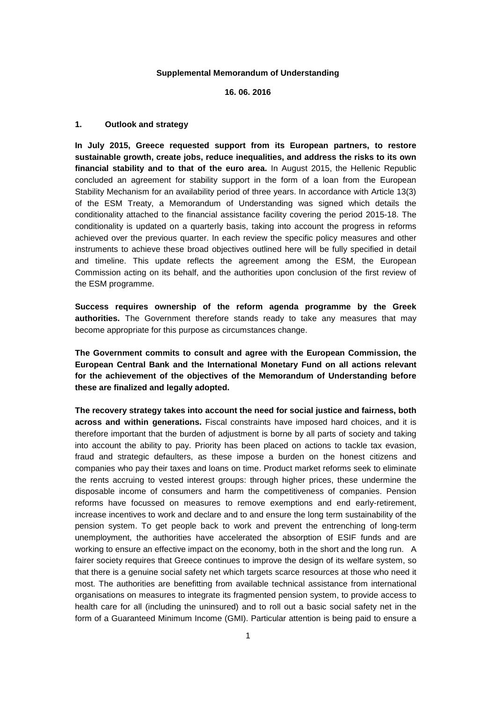#### **Supplemental Memorandum of Understanding**

### **16. 06. 2016**

# **1. Outlook and strategy**

**In July 2015, Greece requested support from its European partners, to restore sustainable growth, create jobs, reduce inequalities, and address the risks to its own financial stability and to that of the euro area.** In August 2015, the Hellenic Republic concluded an agreement for stability support in the form of a loan from the European Stability Mechanism for an availability period of three years. In accordance with Article 13(3) of the ESM Treaty, a Memorandum of Understanding was signed which details the conditionality attached to the financial assistance facility covering the period 2015-18. The conditionality is updated on a quarterly basis, taking into account the progress in reforms achieved over the previous quarter. In each review the specific policy measures and other instruments to achieve these broad objectives outlined here will be fully specified in detail and timeline. This update reflects the agreement among the ESM, the European Commission acting on its behalf, and the authorities upon conclusion of the first review of the ESM programme.

**Success requires ownership of the reform agenda programme by the Greek authorities.** The Government therefore stands ready to take any measures that may become appropriate for this purpose as circumstances change.

**The Government commits to consult and agree with the European Commission, the European Central Bank and the International Monetary Fund on all actions relevant for the achievement of the objectives of the Memorandum of Understanding before these are finalized and legally adopted.** 

**The recovery strategy takes into account the need for social justice and fairness, both across and within generations.** Fiscal constraints have imposed hard choices, and it is therefore important that the burden of adjustment is borne by all parts of society and taking into account the ability to pay. Priority has been placed on actions to tackle tax evasion, fraud and strategic defaulters, as these impose a burden on the honest citizens and companies who pay their taxes and loans on time. Product market reforms seek to eliminate the rents accruing to vested interest groups: through higher prices, these undermine the disposable income of consumers and harm the competitiveness of companies. Pension reforms have focussed on measures to remove exemptions and end early-retirement, increase incentives to work and declare and to and ensure the long term sustainability of the pension system. To get people back to work and prevent the entrenching of long-term unemployment, the authorities have accelerated the absorption of ESIF funds and are working to ensure an effective impact on the economy, both in the short and the long run. A fairer society requires that Greece continues to improve the design of its welfare system, so that there is a genuine social safety net which targets scarce resources at those who need it most. The authorities are benefitting from available technical assistance from international organisations on measures to integrate its fragmented pension system, to provide access to health care for all (including the uninsured) and to roll out a basic social safety net in the form of a Guaranteed Minimum Income (GMI). Particular attention is being paid to ensure a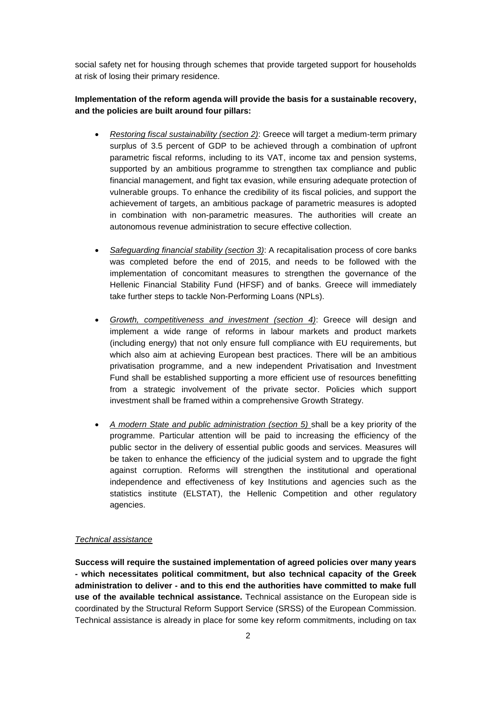social safety net for housing through schemes that provide targeted support for households at risk of losing their primary residence.

**Implementation of the reform agenda will provide the basis for a sustainable recovery, and the policies are built around four pillars:**

- *Restoring fiscal sustainability (section 2)*: Greece will target a medium-term primary surplus of 3.5 percent of GDP to be achieved through a combination of upfront parametric fiscal reforms, including to its VAT, income tax and pension systems, supported by an ambitious programme to strengthen tax compliance and public financial management, and fight tax evasion, while ensuring adequate protection of vulnerable groups. To enhance the credibility of its fiscal policies, and support the achievement of targets, an ambitious package of parametric measures is adopted in combination with non-parametric measures. The authorities will create an autonomous revenue administration to secure effective collection.
- *Safeguarding financial stability (section 3)*: A recapitalisation process of core banks was completed before the end of 2015, and needs to be followed with the implementation of concomitant measures to strengthen the governance of the Hellenic Financial Stability Fund (HFSF) and of banks. Greece will immediately take further steps to tackle Non-Performing Loans (NPLs).
- *Growth, competitiveness and investment (section 4)*: Greece will design and implement a wide range of reforms in labour markets and product markets (including energy) that not only ensure full compliance with EU requirements, but which also aim at achieving European best practices. There will be an ambitious privatisation programme, and a new independent Privatisation and Investment Fund shall be established supporting a more efficient use of resources benefitting from a strategic involvement of the private sector. Policies which support investment shall be framed within a comprehensive Growth Strategy.
- *A modern State and public administration (section 5)* shall be a key priority of the programme. Particular attention will be paid to increasing the efficiency of the public sector in the delivery of essential public goods and services. Measures will be taken to enhance the efficiency of the judicial system and to upgrade the fight against corruption. Reforms will strengthen the institutional and operational independence and effectiveness of key Institutions and agencies such as the statistics institute (ELSTAT), the Hellenic Competition and other regulatory agencies.

### *Technical assistance*

**Success will require the sustained implementation of agreed policies over many years - which necessitates political commitment, but also technical capacity of the Greek administration to deliver - and to this end the authorities have committed to make full use of the available technical assistance.** Technical assistance on the European side is coordinated by the Structural Reform Support Service (SRSS) of the European Commission. Technical assistance is already in place for some key reform commitments, including on tax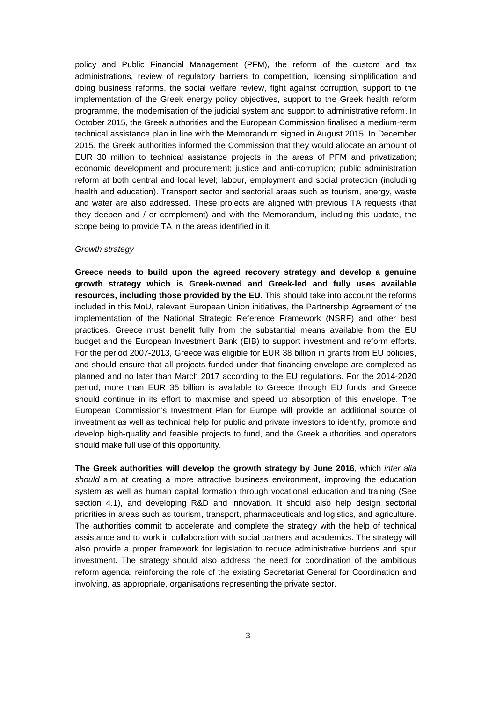policy and Public Financial Management (PFM), the reform of the custom and tax administrations, review of regulatory barriers to competition, licensing simplification and doing business reforms, the social welfare review, fight against corruption, support to the implementation of the Greek energy policy objectives, support to the Greek health reform programme, the modernisation of the judicial system and support to administrative reform. In October 2015, the Greek authorities and the European Commission finalised a medium-term technical assistance plan in line with the Memorandum signed in August 2015. In December 2015, the Greek authorities informed the Commission that they would allocate an amount of EUR 30 million to technical assistance projects in the areas of PFM and privatization; economic development and procurement; justice and anti-corruption; public administration reform at both central and local level; labour, employment and social protection (including health and education). Transport sector and sectorial areas such as tourism, energy, waste and water are also addressed. These projects are aligned with previous TA requests (that they deepen and / or complement) and with the Memorandum, including this update, the scope being to provide TA in the areas identified in it.

#### *Growth strategy*

**Greece needs to build upon the agreed recovery strategy and develop a genuine growth strategy which is Greek-owned and Greek-led and fully uses available resources, including those provided by the EU**. This should take into account the reforms included in this MoU, relevant European Union initiatives, the Partnership Agreement of the implementation of the National Strategic Reference Framework (NSRF) and other best practices. Greece must benefit fully from the substantial means available from the EU budget and the European Investment Bank (EIB) to support investment and reform efforts. For the period 2007-2013, Greece was eligible for EUR 38 billion in grants from EU policies, and should ensure that all projects funded under that financing envelope are completed as planned and no later than March 2017 according to the EU regulations. For the 2014-2020 period, more than EUR 35 billion is available to Greece through EU funds and Greece should continue in its effort to maximise and speed up absorption of this envelope. The European Commission's Investment Plan for Europe will provide an additional source of investment as well as technical help for public and private investors to identify, promote and develop high-quality and feasible projects to fund, and the Greek authorities and operators should make full use of this opportunity.

**The Greek authorities will develop the growth strategy by June 2016**, which *inter alia should* aim at creating a more attractive business environment, improving the education system as well as human capital formation through vocational education and training (See section 4.1), and developing R&D and innovation. It should also help design sectorial priorities in areas such as tourism, transport, pharmaceuticals and logistics, and agriculture. The authorities commit to accelerate and complete the strategy with the help of technical assistance and to work in collaboration with social partners and academics. The strategy will also provide a proper framework for legislation to reduce administrative burdens and spur investment. The strategy should also address the need for coordination of the ambitious reform agenda, reinforcing the role of the existing Secretariat General for Coordination and involving, as appropriate, organisations representing the private sector.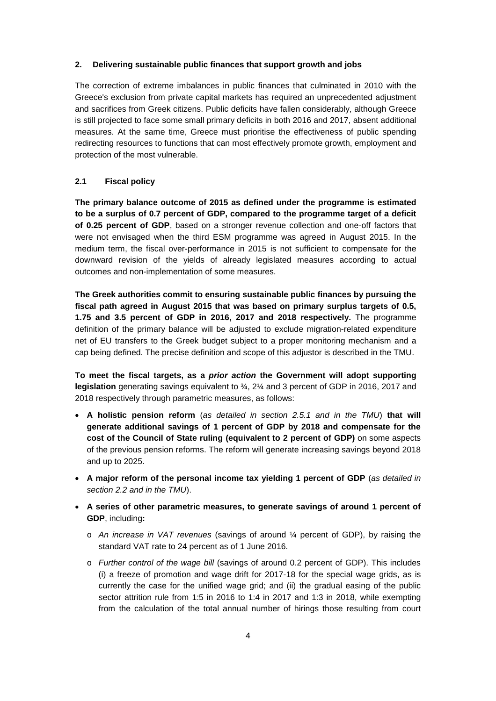### **2. Delivering sustainable public finances that support growth and jobs**

The correction of extreme imbalances in public finances that culminated in 2010 with the Greece's exclusion from private capital markets has required an unprecedented adjustment and sacrifices from Greek citizens. Public deficits have fallen considerably, although Greece is still projected to face some small primary deficits in both 2016 and 2017, absent additional measures. At the same time, Greece must prioritise the effectiveness of public spending redirecting resources to functions that can most effectively promote growth, employment and protection of the most vulnerable.

# **2.1 Fiscal policy**

**The primary balance outcome of 2015 as defined under the programme is estimated to be a surplus of 0.7 percent of GDP, compared to the programme target of a deficit of 0.25 percent of GDP**, based on a stronger revenue collection and one-off factors that were not envisaged when the third ESM programme was agreed in August 2015. In the medium term, the fiscal over-performance in 2015 is not sufficient to compensate for the downward revision of the yields of already legislated measures according to actual outcomes and non-implementation of some measures.

**The Greek authorities commit to ensuring sustainable public finances by pursuing the fiscal path agreed in August 2015 that was based on primary surplus targets of 0.5, 1.75 and 3.5 percent of GDP in 2016, 2017 and 2018 respectively.** The programme definition of the primary balance will be adjusted to exclude migration-related expenditure net of EU transfers to the Greek budget subject to a proper monitoring mechanism and a cap being defined. The precise definition and scope of this adjustor is described in the TMU.

**To meet the fiscal targets, as a** *prior action* **the Government will adopt supporting legislation** generating savings equivalent to ¾, 2¼ and 3 percent of GDP in 2016, 2017 and 2018 respectively through parametric measures, as follows:

- **A holistic pension reform** (*as detailed in section 2.5.1 and in the TMU*) **that will generate additional savings of 1 percent of GDP by 2018 and compensate for the cost of the Council of State ruling (equivalent to 2 percent of GDP)** on some aspects of the previous pension reforms. The reform will generate increasing savings beyond 2018 and up to 2025.
- **A major reform of the personal income tax yielding 1 percent of GDP** (*as detailed in section 2.2 and in the TMU*).
- **A series of other parametric measures, to generate savings of around 1 percent of GDP**, including**:**
	- o *An increase in VAT revenues* (savings of around ¼ percent of GDP), by raising the standard VAT rate to 24 percent as of 1 June 2016.
	- o *Further control of the wage bill* (savings of around 0.2 percent of GDP). This includes (i) a freeze of promotion and wage drift for 2017-18 for the special wage grids, as is currently the case for the unified wage grid; and (ii) the gradual easing of the public sector attrition rule from 1:5 in 2016 to 1:4 in 2017 and 1:3 in 2018, while exempting from the calculation of the total annual number of hirings those resulting from court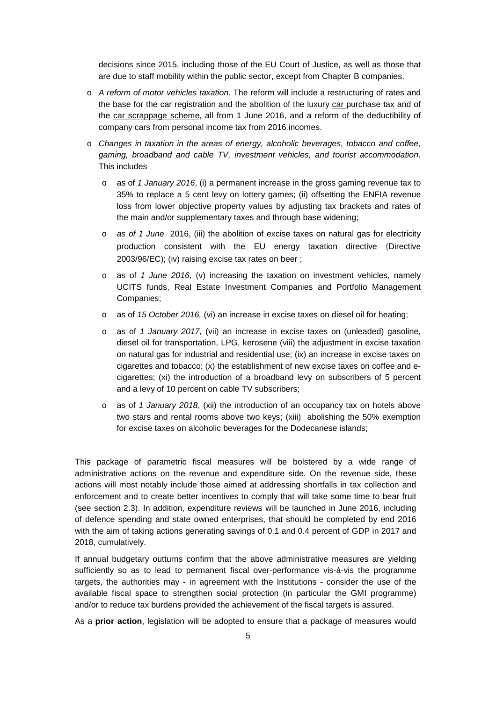decisions since 2015, including those of the EU Court of Justice, as well as those that are due to staff mobility within the public sector, except from Chapter B companies.

- o *A reform of motor vehicles taxation*. The reform will include a restructuring of rates and the base for the car registration and the abolition of the luxury car purchase tax and of the car scrappage scheme, all from 1 June 2016, and a reform of the deductibility of company cars from personal income tax from 2016 incomes.
- o *Changes in taxation in the areas of energy, alcoholic beverages, tobacco and coffee, gaming, broadband and cable TV, investment vehicles, and tourist accommodation*. This includes
	- o as of *1 January 2016*, (i) a permanent increase in the gross gaming revenue tax to 35% to replace a 5 cent levy on lottery games; (ii) offsetting the ENFIA revenue loss from lower objective property values by adjusting tax brackets and rates of the main and/or supplementary taxes and through base widening;
	- o *as of 1 June* 2016, (iii) the abolition of excise taxes on natural gas for electricity production consistent with the EU energy taxation directive (Directive 2003/96/EC); (iv) raising excise tax rates on beer ;
	- o as of *1 June 2016,* (v) increasing the taxation on investment vehicles, namely UCITS funds, Real Estate Investment Companies and Portfolio Management Companies;
	- o as of *15 October 2016,* (vi) an increase in excise taxes on diesel oil for heating;
	- o as of *1 January 2017,* (vii) an increase in excise taxes on (unleaded) gasoline, diesel oil for transportation, LPG, kerosene (viii) the adjustment in excise taxation on natural gas for industrial and residential use; (ix) an increase in excise taxes on cigarettes and tobacco; (x) the establishment of new excise taxes on coffee and ecigarettes; (xi) the introduction of a broadband levy on subscribers of 5 percent and a levy of 10 percent on cable TV subscribers;
	- o as of *1 January 2018*, (xii) the introduction of an occupancy tax on hotels above two stars and rental rooms above two keys; (xiii) abolishing the 50% exemption for excise taxes on alcoholic beverages for the Dodecanese islands;

This package of parametric fiscal measures will be bolstered by a wide range of administrative actions on the revenue and expenditure side. On the revenue side, these actions will most notably include those aimed at addressing shortfalls in tax collection and enforcement and to create better incentives to comply that will take some time to bear fruit (see section 2.3). In addition, expenditure reviews will be launched in June 2016, including of defence spending and state owned enterprises, that should be completed by end 2016 with the aim of taking actions generating savings of 0.1 and 0.4 percent of GDP in 2017 and 2018, cumulatively.

If annual budgetary outturns confirm that the above administrative measures are yielding sufficiently so as to lead to permanent fiscal over-performance vis-à-vis the programme targets, the authorities may - in agreement with the Institutions - consider the use of the available fiscal space to strengthen social protection (in particular the GMI programme) and/or to reduce tax burdens provided the achievement of the fiscal targets is assured.

As a **prior action**, legislation will be adopted to ensure that a package of measures would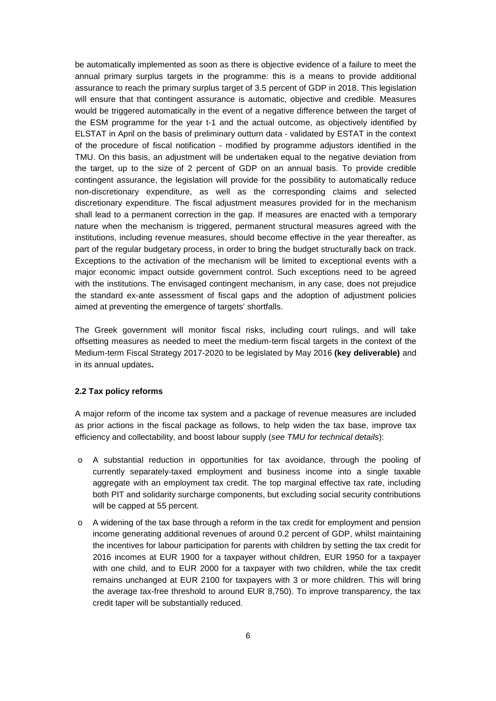be automatically implemented as soon as there is objective evidence of a failure to meet the annual primary surplus targets in the programme: this is a means to provide additional assurance to reach the primary surplus target of 3.5 percent of GDP in 2018. This legislation will ensure that that contingent assurance is automatic, objective and credible. Measures would be triggered automatically in the event of a negative difference between the target of the ESM programme for the year t-1 and the actual outcome, as objectively identified by ELSTAT in April on the basis of preliminary outturn data - validated by ESTAT in the context of the procedure of fiscal notification - modified by programme adjustors identified in the TMU. On this basis, an adjustment will be undertaken equal to the negative deviation from the target, up to the size of 2 percent of GDP on an annual basis. To provide credible contingent assurance, the legislation will provide for the possibility to automatically reduce non-discretionary expenditure, as well as the corresponding claims and selected discretionary expenditure. The fiscal adjustment measures provided for in the mechanism shall lead to a permanent correction in the gap. If measures are enacted with a temporary nature when the mechanism is triggered, permanent structural measures agreed with the institutions, including revenue measures, should become effective in the year thereafter, as part of the regular budgetary process, in order to bring the budget structurally back on track. Exceptions to the activation of the mechanism will be limited to exceptional events with a major economic impact outside government control. Such exceptions need to be agreed with the institutions. The envisaged contingent mechanism, in any case, does not prejudice the standard ex-ante assessment of fiscal gaps and the adoption of adjustment policies aimed at preventing the emergence of targets' shortfalls.

The Greek government will monitor fiscal risks, including court rulings, and will take offsetting measures as needed to meet the medium-term fiscal targets in the context of the Medium-term Fiscal Strategy 2017-2020 to be legislated by May 2016 **(key deliverable)** and in its annual updates**.**

### **2.2 Tax policy reforms**

A major reform of the income tax system and a package of revenue measures are included as prior actions in the fiscal package as follows, to help widen the tax base, improve tax efficiency and collectability, and boost labour supply (*see TMU for technical details*):

- o A substantial reduction in opportunities for tax avoidance, through the pooling of currently separately-taxed employment and business income into a single taxable aggregate with an employment tax credit. The top marginal effective tax rate, including both PIT and solidarity surcharge components, but excluding social security contributions will be capped at 55 percent.
- o A widening of the tax base through a reform in the tax credit for employment and pension income generating additional revenues of around 0.2 percent of GDP, whilst maintaining the incentives for labour participation for parents with children by setting the tax credit for 2016 incomes at EUR 1900 for a taxpayer without children, EUR 1950 for a taxpayer with one child, and to EUR 2000 for a taxpayer with two children, while the tax credit remains unchanged at EUR 2100 for taxpayers with 3 or more children. This will bring the average tax-free threshold to around EUR 8,750). To improve transparency, the tax credit taper will be substantially reduced.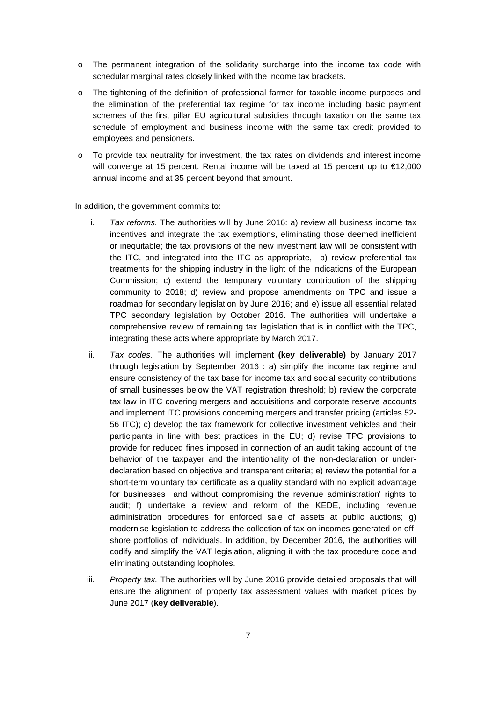- o The permanent integration of the solidarity surcharge into the income tax code with schedular marginal rates closely linked with the income tax brackets.
- o The tightening of the definition of professional farmer for taxable income purposes and the elimination of the preferential tax regime for tax income including basic payment schemes of the first pillar EU agricultural subsidies through taxation on the same tax schedule of employment and business income with the same tax credit provided to employees and pensioners.
- o To provide tax neutrality for investment, the tax rates on dividends and interest income will converge at 15 percent. Rental income will be taxed at 15 percent up to €12,000 annual income and at 35 percent beyond that amount.

In addition, the government commits to:

- i. *Tax reforms.* The authorities will by June 2016: a) review all business income tax incentives and integrate the tax exemptions, eliminating those deemed inefficient or inequitable; the tax provisions of the new investment law will be consistent with the ITC, and integrated into the ITC as appropriate, b) review preferential tax treatments for the shipping industry in the light of the indications of the European Commission; c) extend the temporary voluntary contribution of the shipping community to 2018; d) review and propose amendments on TPC and issue a roadmap for secondary legislation by June 2016; and e) issue all essential related TPC secondary legislation by October 2016. The authorities will undertake a comprehensive review of remaining tax legislation that is in conflict with the TPC, integrating these acts where appropriate by March 2017.
- ii. *Tax codes.* The authorities will implement **(key deliverable)** by January 2017 through legislation by September 2016 : a) simplify the income tax regime and ensure consistency of the tax base for income tax and social security contributions of small businesses below the VAT registration threshold; b) review the corporate tax law in ITC covering mergers and acquisitions and corporate reserve accounts and implement ITC provisions concerning mergers and transfer pricing (articles 52- 56 ITC); c) develop the tax framework for collective investment vehicles and their participants in line with best practices in the EU; d) revise TPC provisions to provide for reduced fines imposed in connection of an audit taking account of the behavior of the taxpayer and the intentionality of the non-declaration or underdeclaration based on objective and transparent criteria; e) review the potential for a short-term voluntary tax certificate as a quality standard with no explicit advantage for businesses and without compromising the revenue administration' rights to audit; f) undertake a review and reform of the KEDE, including revenue administration procedures for enforced sale of assets at public auctions; g) modernise legislation to address the collection of tax on incomes generated on offshore portfolios of individuals. In addition, by December 2016, the authorities will codify and simplify the VAT legislation, aligning it with the tax procedure code and eliminating outstanding loopholes.
- iii. *Property tax.* The authorities will by June 2016 provide detailed proposals that will ensure the alignment of property tax assessment values with market prices by June 2017 (**key deliverable**).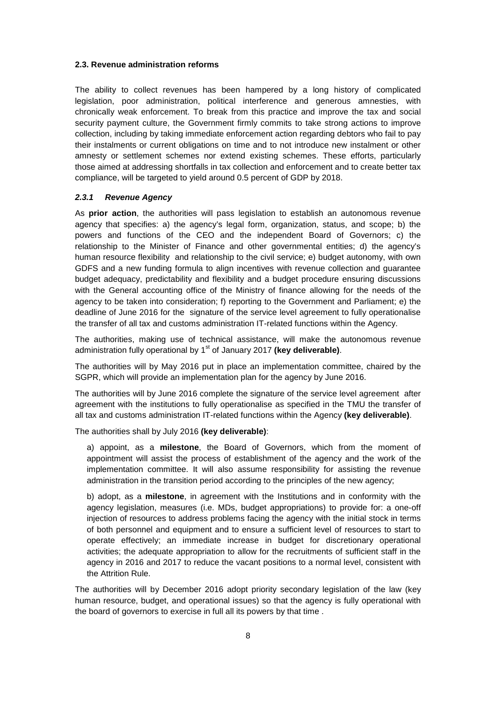#### **2.3. Revenue administration reforms**

The ability to collect revenues has been hampered by a long history of complicated legislation, poor administration, political interference and generous amnesties, with chronically weak enforcement. To break from this practice and improve the tax and social security payment culture, the Government firmly commits to take strong actions to improve collection, including by taking immediate enforcement action regarding debtors who fail to pay their instalments or current obligations on time and to not introduce new instalment or other amnesty or settlement schemes nor extend existing schemes. These efforts, particularly those aimed at addressing shortfalls in tax collection and enforcement and to create better tax compliance, will be targeted to yield around 0.5 percent of GDP by 2018.

#### *2.3.1 Revenue Agency*

As **prior action**, the authorities will pass legislation to establish an autonomous revenue agency that specifies: a) the agency's legal form, organization, status, and scope; b) the powers and functions of the CEO and the independent Board of Governors; c) the relationship to the Minister of Finance and other governmental entities; d) the agency's human resource flexibility and relationship to the civil service; e) budget autonomy, with own GDFS and a new funding formula to align incentives with revenue collection and guarantee budget adequacy, predictability and flexibility and a budget procedure ensuring discussions with the General accounting office of the Ministry of finance allowing for the needs of the agency to be taken into consideration; f) reporting to the Government and Parliament; e) the deadline of June 2016 for the signature of the service level agreement to fully operationalise the transfer of all tax and customs administration IT-related functions within the Agency.

The authorities, making use of technical assistance, will make the autonomous revenue administration fully operational by 1<sup>st</sup> of January 2017 (key deliverable).

The authorities will by May 2016 put in place an implementation committee, chaired by the SGPR, which will provide an implementation plan for the agency by June 2016.

The authorities will by June 2016 complete the signature of the service level agreement after agreement with the institutions to fully operationalise as specified in the TMU the transfer of all tax and customs administration IT-related functions within the Agency **(key deliverable)**.

The authorities shall by July 2016 **(key deliverable)**:

a) appoint, as a **milestone**, the Board of Governors, which from the moment of appointment will assist the process of establishment of the agency and the work of the implementation committee. It will also assume responsibility for assisting the revenue administration in the transition period according to the principles of the new agency;

b) adopt, as a **milestone**, in agreement with the Institutions and in conformity with the agency legislation, measures (i.e. MDs, budget appropriations) to provide for: a one-off injection of resources to address problems facing the agency with the initial stock in terms of both personnel and equipment and to ensure a sufficient level of resources to start to operate effectively; an immediate increase in budget for discretionary operational activities; the adequate appropriation to allow for the recruitments of sufficient staff in the agency in 2016 and 2017 to reduce the vacant positions to a normal level, consistent with the Attrition Rule.

The authorities will by December 2016 adopt priority secondary legislation of the law (key human resource, budget, and operational issues) so that the agency is fully operational with the board of governors to exercise in full all its powers by that time .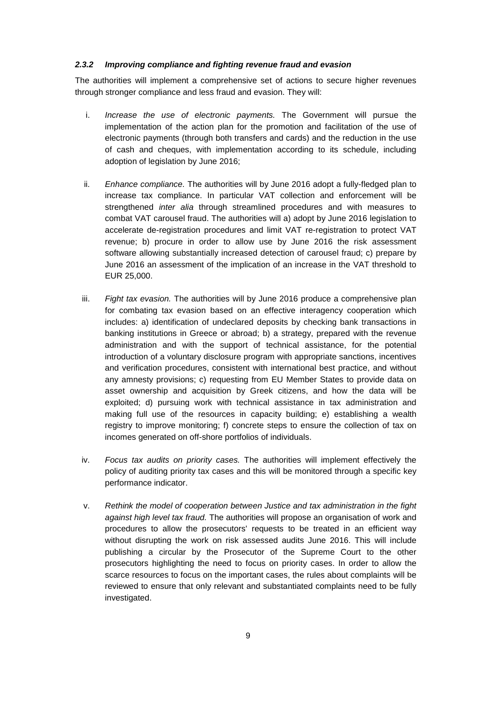### *2.3.2 Improving compliance and fighting revenue fraud and evasion*

The authorities will implement a comprehensive set of actions to secure higher revenues through stronger compliance and less fraud and evasion. They will:

- i. *Increase the use of electronic payments.* The Government will pursue the implementation of the action plan for the promotion and facilitation of the use of electronic payments (through both transfers and cards) and the reduction in the use of cash and cheques, with implementation according to its schedule, including adoption of legislation by June 2016;
- ii. *Enhance compliance.* The authorities will by June 2016 adopt a fully-fledged plan to increase tax compliance. In particular VAT collection and enforcement will be strengthened *inter alia* through streamlined procedures and with measures to combat VAT carousel fraud. The authorities will a) adopt by June 2016 legislation to accelerate de-registration procedures and limit VAT re-registration to protect VAT revenue; b) procure in order to allow use by June 2016 the risk assessment software allowing substantially increased detection of carousel fraud; c) prepare by June 2016 an assessment of the implication of an increase in the VAT threshold to EUR 25,000.
- iii. *Fight tax evasion.* The authorities will by June 2016 produce a comprehensive plan for combating tax evasion based on an effective interagency cooperation which includes: a) identification of undeclared deposits by checking bank transactions in banking institutions in Greece or abroad; b) a strategy, prepared with the revenue administration and with the support of technical assistance, for the potential introduction of a voluntary disclosure program with appropriate sanctions, incentives and verification procedures, consistent with international best practice, and without any amnesty provisions; c) requesting from EU Member States to provide data on asset ownership and acquisition by Greek citizens, and how the data will be exploited; d) pursuing work with technical assistance in tax administration and making full use of the resources in capacity building; e) establishing a wealth registry to improve monitoring; f) concrete steps to ensure the collection of tax on incomes generated on off-shore portfolios of individuals.
- iv. *Focus tax audits on priority cases.* The authorities will implement effectively the policy of auditing priority tax cases and this will be monitored through a specific key performance indicator.
- v. *Rethink the model of cooperation between Justice and tax administration in the fight against high level tax fraud.* The authorities will propose an organisation of work and procedures to allow the prosecutors' requests to be treated in an efficient way without disrupting the work on risk assessed audits June 2016. This will include publishing a circular by the Prosecutor of the Supreme Court to the other prosecutors highlighting the need to focus on priority cases. In order to allow the scarce resources to focus on the important cases, the rules about complaints will be reviewed to ensure that only relevant and substantiated complaints need to be fully investigated.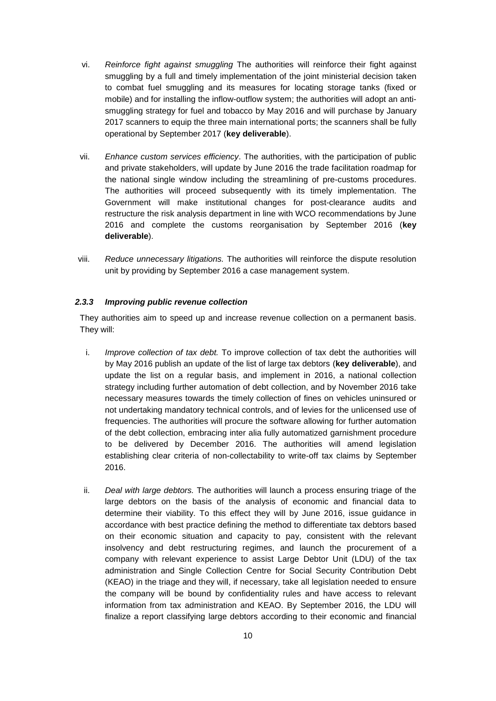- vi. *Reinforce fight against smuggling* The authorities will reinforce their fight against smuggling by a full and timely implementation of the joint ministerial decision taken to combat fuel smuggling and its measures for locating storage tanks (fixed or mobile) and for installing the inflow-outflow system; the authorities will adopt an antismuggling strategy for fuel and tobacco by May 2016 and will purchase by January 2017 scanners to equip the three main international ports; the scanners shall be fully operational by September 2017 (**key deliverable**).
- vii. *Enhance custom services efficiency*. The authorities, with the participation of public and private stakeholders, will update by June 2016 the trade facilitation roadmap for the national single window including the streamlining of pre-customs procedures. The authorities will proceed subsequently with its timely implementation. The Government will make institutional changes for post-clearance audits and restructure the risk analysis department in line with WCO recommendations by June 2016 and complete the customs reorganisation by September 2016 (**key deliverable**).
- viii. *Reduce unnecessary litigations.* The authorities will reinforce the dispute resolution unit by providing by September 2016 a case management system.

# *2.3.3 Improving public revenue collection*

They authorities aim to speed up and increase revenue collection on a permanent basis. They will:

- i. *Improve collection of tax debt.* To improve collection of tax debt the authorities will by May 2016 publish an update of the list of large tax debtors (**key deliverable**), and update the list on a regular basis, and implement in 2016, a national collection strategy including further automation of debt collection, and by November 2016 take necessary measures towards the timely collection of fines on vehicles uninsured or not undertaking mandatory technical controls, and of levies for the unlicensed use of frequencies. The authorities will procure the software allowing for further automation of the debt collection, embracing inter alia fully automatized garnishment procedure to be delivered by December 2016. The authorities will amend legislation establishing clear criteria of non-collectability to write-off tax claims by September 2016.
- ii. *Deal with large debtors.* The authorities will launch a process ensuring triage of the large debtors on the basis of the analysis of economic and financial data to determine their viability. To this effect they will by June 2016, issue guidance in accordance with best practice defining the method to differentiate tax debtors based on their economic situation and capacity to pay, consistent with the relevant insolvency and debt restructuring regimes, and launch the procurement of a company with relevant experience to assist Large Debtor Unit (LDU) of the tax administration and Single Collection Centre for Social Security Contribution Debt (KEAO) in the triage and they will, if necessary, take all legislation needed to ensure the company will be bound by confidentiality rules and have access to relevant information from tax administration and KEAO. By September 2016, the LDU will finalize a report classifying large debtors according to their economic and financial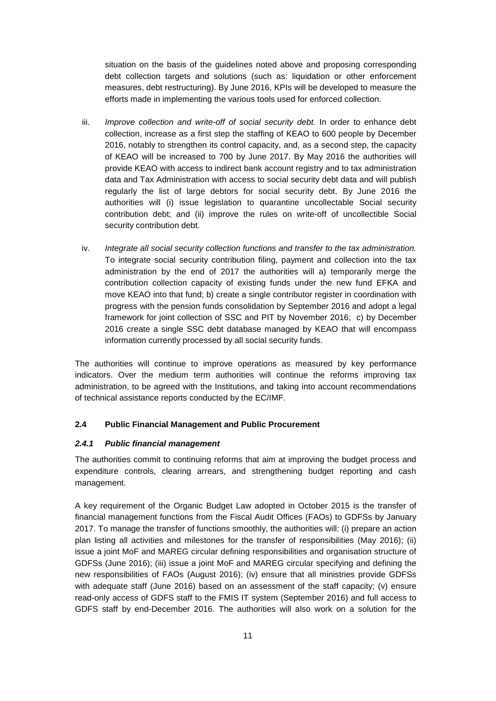situation on the basis of the guidelines noted above and proposing corresponding debt collection targets and solutions (such as: liquidation or other enforcement measures, debt restructuring). By June 2016, KPIs will be developed to measure the efforts made in implementing the various tools used for enforced collection.

- iii. *Improve collection and write-off of social security debt*. In order to enhance debt collection, increase as a first step the staffing of KEAO to 600 people by December 2016, notably to strengthen its control capacity, and, as a second step, the capacity of KEAO will be increased to 700 by June 2017. By May 2016 the authorities will provide KEAO with access to indirect bank account registry and to tax administration data and Tax Administration with access to social security debt data and will publish regularly the list of large debtors for social security debt. By June 2016 the authorities will (i) issue legislation to quarantine uncollectable Social security contribution debt; and (ii) improve the rules on write-off of uncollectible Social security contribution debt.
- iv. *Integrate all social security collection functions and transfer to the tax administration.* To integrate social security contribution filing, payment and collection into the tax administration by the end of 2017 the authorities will a) temporarily merge the contribution collection capacity of existing funds under the new fund EFKA and move KEAO into that fund; b) create a single contributor register in coordination with progress with the pension funds consolidation by September 2016 and adopt a legal framework for joint collection of SSC and PIT by November 2016; c) by December 2016 create a single SSC debt database managed by KEAO that will encompass information currently processed by all social security funds.

The authorities will continue to improve operations as measured by key performance indicators. Over the medium term authorities will continue the reforms improving tax administration, to be agreed with the Institutions, and taking into account recommendations of technical assistance reports conducted by the EC/IMF.

# **2.4 Public Financial Management and Public Procurement**

### *2.4.1 Public financial management*

The authorities commit to continuing reforms that aim at improving the budget process and expenditure controls, clearing arrears, and strengthening budget reporting and cash management.

A key requirement of the Organic Budget Law adopted in October 2015 is the transfer of financial management functions from the Fiscal Audit Offices (FAOs) to GDFSs by January 2017. To manage the transfer of functions smoothly, the authorities will: (i) prepare an action plan listing all activities and milestones for the transfer of responsibilities (May 2016); (ii) issue a joint MoF and MAREG circular defining responsibilities and organisation structure of GDFSs (June 2016); (iii) issue a joint MoF and MAREG circular specifying and defining the new responsibilities of FAOs (August 2016); (iv) ensure that all ministries provide GDFSs with adequate staff (June 2016) based on an assessment of the staff capacity; (v) ensure read-only access of GDFS staff to the FMIS IT system (September 2016) and full access to GDFS staff by end-December 2016. The authorities will also work on a solution for the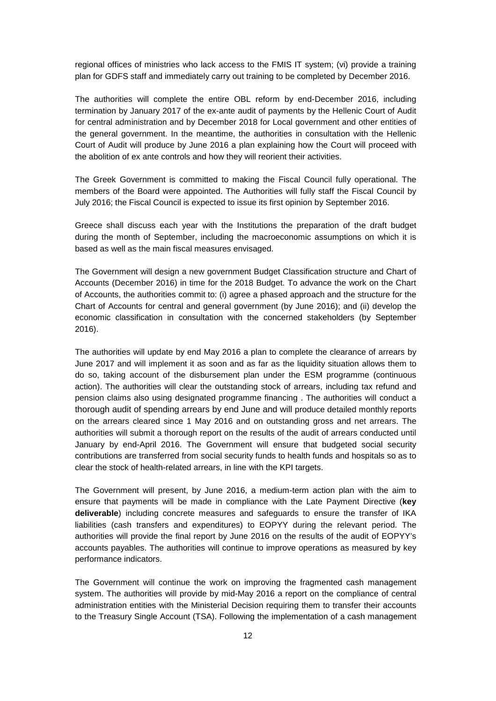regional offices of ministries who lack access to the FMIS IT system; (vi) provide a training plan for GDFS staff and immediately carry out training to be completed by December 2016.

The authorities will complete the entire OBL reform by end-December 2016, including termination by January 2017 of the ex-ante audit of payments by the Hellenic Court of Audit for central administration and by December 2018 for Local government and other entities of the general government. In the meantime, the authorities in consultation with the Hellenic Court of Audit will produce by June 2016 a plan explaining how the Court will proceed with the abolition of ex ante controls and how they will reorient their activities.

The Greek Government is committed to making the Fiscal Council fully operational. The members of the Board were appointed. The Authorities will fully staff the Fiscal Council by July 2016; the Fiscal Council is expected to issue its first opinion by September 2016.

Greece shall discuss each year with the Institutions the preparation of the draft budget during the month of September, including the macroeconomic assumptions on which it is based as well as the main fiscal measures envisaged.

The Government will design a new government Budget Classification structure and Chart of Accounts (December 2016) in time for the 2018 Budget. To advance the work on the Chart of Accounts, the authorities commit to: (i) agree a phased approach and the structure for the Chart of Accounts for central and general government (by June 2016); and (ii) develop the economic classification in consultation with the concerned stakeholders (by September 2016).

The authorities will update by end May 2016 a plan to complete the clearance of arrears by June 2017 and will implement it as soon and as far as the liquidity situation allows them to do so, taking account of the disbursement plan under the ESM programme (continuous action). The authorities will clear the outstanding stock of arrears, including tax refund and pension claims also using designated programme financing . The authorities will conduct a thorough audit of spending arrears by end June and will produce detailed monthly reports on the arrears cleared since 1 May 2016 and on outstanding gross and net arrears. The authorities will submit a thorough report on the results of the audit of arrears conducted until January by end-April 2016. The Government will ensure that budgeted social security contributions are transferred from social security funds to health funds and hospitals so as to clear the stock of health-related arrears, in line with the KPI targets.

The Government will present, by June 2016, a medium-term action plan with the aim to ensure that payments will be made in compliance with the Late Payment Directive (**key deliverable**) including concrete measures and safeguards to ensure the transfer of IKA liabilities (cash transfers and expenditures) to EOPYY during the relevant period. The authorities will provide the final report by June 2016 on the results of the audit of EOPYY's accounts payables. The authorities will continue to improve operations as measured by key performance indicators.

The Government will continue the work on improving the fragmented cash management system. The authorities will provide by mid-May 2016 a report on the compliance of central administration entities with the Ministerial Decision requiring them to transfer their accounts to the Treasury Single Account (TSA). Following the implementation of a cash management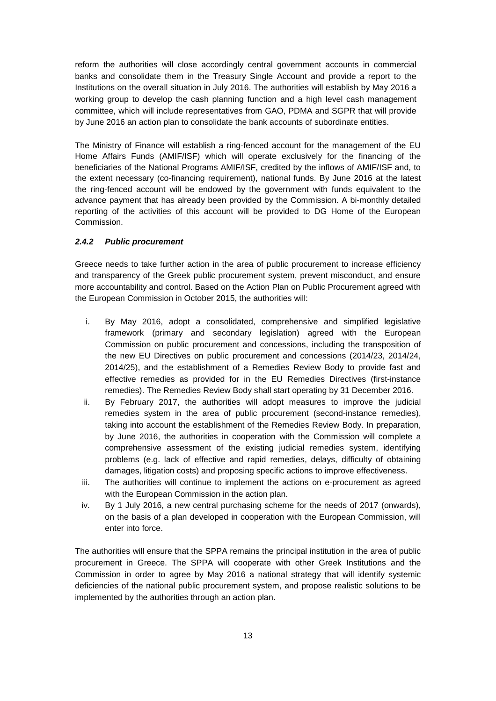reform the authorities will close accordingly central government accounts in commercial banks and consolidate them in the Treasury Single Account and provide a report to the Institutions on the overall situation in July 2016. The authorities will establish by May 2016 a working group to develop the cash planning function and a high level cash management committee, which will include representatives from GAO, PDMA and SGPR that will provide by June 2016 an action plan to consolidate the bank accounts of subordinate entities.

The Ministry of Finance will establish a ring-fenced account for the management of the EU Home Affairs Funds (AMIF/ISF) which will operate exclusively for the financing of the beneficiaries of the National Programs AMIF/ISF, credited by the inflows of AMIF/ISF and, to the extent necessary (co-financing requirement), national funds. By June 2016 at the latest the ring-fenced account will be endowed by the government with funds equivalent to the advance payment that has already been provided by the Commission. A bi-monthly detailed reporting of the activities of this account will be provided to DG Home of the European Commission.

# *2.4.2 Public procurement*

Greece needs to take further action in the area of public procurement to increase efficiency and transparency of the Greek public procurement system, prevent misconduct, and ensure more accountability and control. Based on the Action Plan on Public Procurement agreed with the European Commission in October 2015, the authorities will:

- i. By May 2016, adopt a consolidated, comprehensive and simplified legislative framework (primary and secondary legislation) agreed with the European Commission on public procurement and concessions, including the transposition of the new EU Directives on public procurement and concessions (2014/23, 2014/24, 2014/25), and the establishment of a Remedies Review Body to provide fast and effective remedies as provided for in the EU Remedies Directives (first-instance remedies). The Remedies Review Body shall start operating by 31 December 2016.
- ii. By February 2017, the authorities will adopt measures to improve the judicial remedies system in the area of public procurement (second-instance remedies), taking into account the establishment of the Remedies Review Body. In preparation, by June 2016, the authorities in cooperation with the Commission will complete a comprehensive assessment of the existing judicial remedies system, identifying problems (e.g. lack of effective and rapid remedies, delays, difficulty of obtaining damages, litigation costs) and proposing specific actions to improve effectiveness.
- iii. The authorities will continue to implement the actions on e-procurement as agreed with the European Commission in the action plan.
- iv. By 1 July 2016, a new central purchasing scheme for the needs of 2017 (onwards), on the basis of a plan developed in cooperation with the European Commission, will enter into force.

The authorities will ensure that the SPPA remains the principal institution in the area of public procurement in Greece. The SPPA will cooperate with other Greek Institutions and the Commission in order to agree by May 2016 a national strategy that will identify systemic deficiencies of the national public procurement system, and propose realistic solutions to be implemented by the authorities through an action plan.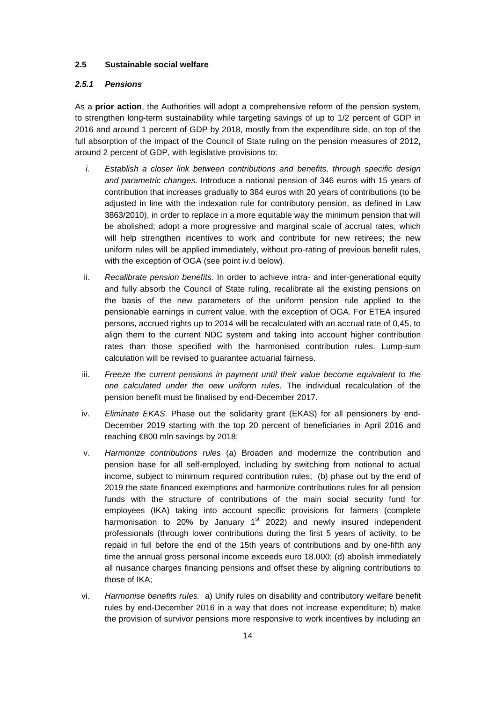# **2.5 Sustainable social welfare**

### *2.5.1 Pensions*

As a **prior action**, the Authorities will adopt a comprehensive reform of the pension system, to strengthen long-term sustainability while targeting savings of up to 1/2 percent of GDP in 2016 and around 1 percent of GDP by 2018, mostly from the expenditure side, on top of the full absorption of the impact of the Council of State ruling on the pension measures of 2012, around 2 percent of GDP, with legislative provisions to:

- *i. Establish a closer link between contributions and benefits, through specific design and parametric changes*. Introduce a national pension of 346 euros with 15 years of contribution that increases gradually to 384 euros with 20 years of contributions (to be adjusted in line with the indexation rule for contributory pension, as defined in Law 3863/2010), in order to replace in a more equitable way the minimum pension that will be abolished; adopt a more progressive and marginal scale of accrual rates, which will help strengthen incentives to work and contribute for new retirees; the new uniform rules will be applied immediately, without pro-rating of previous benefit rules, with the exception of OGA (see point iv.d below).
- ii. *Recalibrate pension benefits.* In order to achieve intra- and inter-generational equity and fully absorb the Council of State ruling, recalibrate all the existing pensions on the basis of the new parameters of the uniform pension rule applied to the pensionable earnings in current value, with the exception of OGA. For ETEA insured persons, accrued rights up to 2014 will be recalculated with an accrual rate of 0,45, to align them to the current NDC system and taking into account higher contribution rates than those specified with the harmonised contribution rules. Lump-sum calculation will be revised to guarantee actuarial fairness.
- iii. *Freeze the current pensions in payment until their value become equivalent to the one calculated under the new uniform rules*. The individual recalculation of the pension benefit must be finalised by end-December 2017.
- iv. *Eliminate EKAS*. Phase out the solidarity grant (EKAS) for all pensioners by end-December 2019 starting with the top 20 percent of beneficiaries in April 2016 and reaching €800 mln savings by 2018;
- v. *Harmonize contributions rules* (a) Broaden and modernize the contribution and pension base for all self-employed, including by switching from notional to actual income, subject to minimum required contribution rules; (b) phase out by the end of 2019 the state financed exemptions and harmonize contributions rules for all pension funds with the structure of contributions of the main social security fund for employees (IKA) taking into account specific provisions for farmers (complete harmonisation to 20% by January  $1<sup>st</sup>$  2022) and newly insured independent professionals (through lower contributions during the first 5 years of activity, to be repaid in full before the end of the 15th years of contributions and by one-fifth any time the annual gross personal income exceeds euro 18.000; (d) abolish immediately all nuisance charges financing pensions and offset these by aligning contributions to those of IKA;
- vi. *Harmonise benefits rules.* a) Unify rules on disability and contributory welfare benefit rules by end-December 2016 in a way that does not increase expenditure; b) make the provision of survivor pensions more responsive to work incentives by including an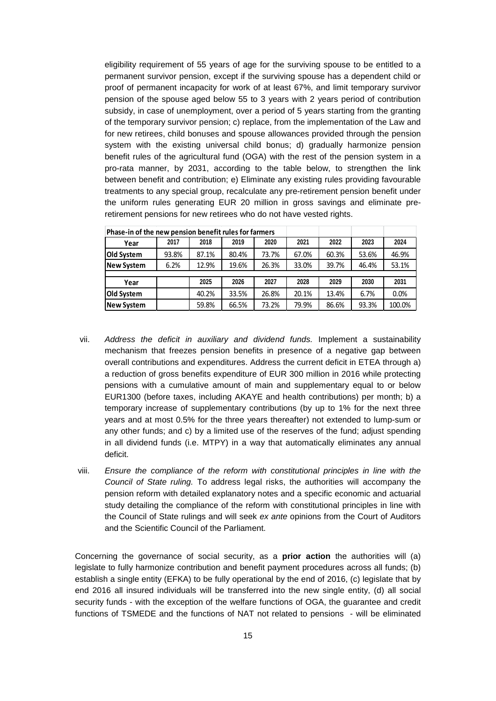eligibility requirement of 55 years of age for the surviving spouse to be entitled to a permanent survivor pension, except if the surviving spouse has a dependent child or proof of permanent incapacity for work of at least 67%, and limit temporary survivor pension of the spouse aged below 55 to 3 years with 2 years period of contribution subsidy, in case of unemployment, over a period of 5 years starting from the granting of the temporary survivor pension; c) replace, from the implementation of the Law and for new retirees, child bonuses and spouse allowances provided through the pension system with the existing universal child bonus; d) gradually harmonize pension benefit rules of the agricultural fund (OGA) with the rest of the pension system in a pro-rata manner, by 2031, according to the table below, to strengthen the link between benefit and contribution; e) Eliminate any existing rules providing favourable treatments to any special group, recalculate any pre-retirement pension benefit under the uniform rules generating EUR 20 million in gross savings and eliminate preretirement pensions for new retirees who do not have vested rights.

| Phase-in of the new pension benefit rules for farmers |       |       |       |       |       |       |       |        |
|-------------------------------------------------------|-------|-------|-------|-------|-------|-------|-------|--------|
| Year                                                  | 2017  | 2018  | 2019  | 2020  | 2021  | 2022  | 2023  | 2024   |
| Old System                                            | 93.8% | 87.1% | 80.4% | 73.7% | 67.0% | 60.3% | 53.6% | 46.9%  |
| <b>New System</b>                                     | 6.2%  | 12.9% | 19.6% | 26.3% | 33.0% | 39.7% | 46.4% | 53.1%  |
|                                                       |       |       |       |       |       |       |       |        |
| Year                                                  |       | 2025  | 2026  | 2027  | 2028  | 2029  | 2030  | 2031   |
| Old System                                            |       | 40.2% | 33.5% | 26.8% | 20.1% | 13.4% | 6.7%  | 0.0%   |
| <b>New System</b>                                     |       | 59.8% | 66.5% | 73.2% | 79.9% | 86.6% | 93.3% | 100.0% |

- vii. *Address the deficit in auxiliary and dividend funds.* Implement a sustainability mechanism that freezes pension benefits in presence of a negative gap between overall contributions and expenditures. Address the current deficit in ETEA through a) a reduction of gross benefits expenditure of EUR 300 million in 2016 while protecting pensions with a cumulative amount of main and supplementary equal to or below EUR1300 (before taxes, including AKAYE and health contributions) per month; b) a temporary increase of supplementary contributions (by up to 1% for the next three years and at most 0.5% for the three years thereafter) not extended to lump-sum or any other funds; and c) by a limited use of the reserves of the fund; adjust spending in all dividend funds (i.e. MTPY) in a way that automatically eliminates any annual deficit.
- viii. *Ensure the compliance of the reform with constitutional principles in line with the Council of State ruling.* To address legal risks, the authorities will accompany the pension reform with detailed explanatory notes and a specific economic and actuarial study detailing the compliance of the reform with constitutional principles in line with the Council of State rulings and will seek *ex ante* opinions from the Court of Auditors and the Scientific Council of the Parliament.

Concerning the governance of social security, as a **prior action** the authorities will (a) legislate to fully harmonize contribution and benefit payment procedures across all funds; (b) establish a single entity (EFKA) to be fully operational by the end of 2016, (c) legislate that by end 2016 all insured individuals will be transferred into the new single entity, (d) all social security funds - with the exception of the welfare functions of OGA, the guarantee and credit functions of TSMEDE and the functions of NAT not related to pensions - will be eliminated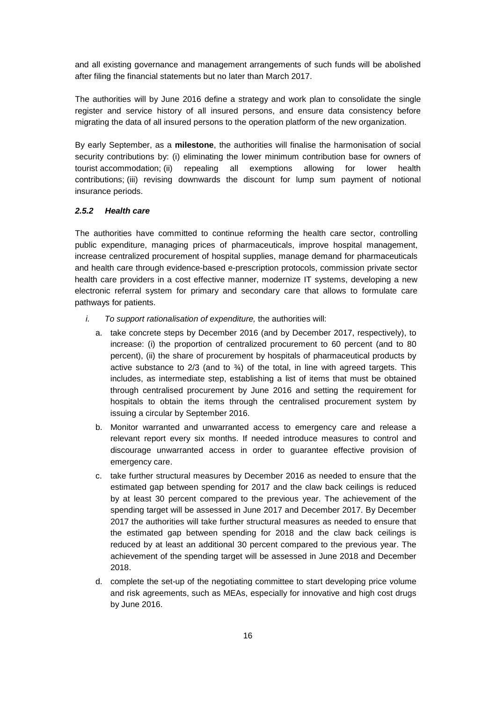and all existing governance and management arrangements of such funds will be abolished after filing the financial statements but no later than March 2017.

The authorities will by June 2016 define a strategy and work plan to consolidate the single register and service history of all insured persons, and ensure data consistency before migrating the data of all insured persons to the operation platform of the new organization.

By early September, as a **milestone**, the authorities will finalise the harmonisation of social security contributions by: (i) eliminating the lower minimum contribution base for owners of tourist accommodation; (ii) repealing all exemptions allowing for lower health contributions; (iii) revising downwards the discount for lump sum payment of notional insurance periods.

# *2.5.2 Health care*

The authorities have committed to continue reforming the health care sector, controlling public expenditure, managing prices of pharmaceuticals, improve hospital management, increase centralized procurement of hospital supplies, manage demand for pharmaceuticals and health care through evidence-based e-prescription protocols, commission private sector health care providers in a cost effective manner, modernize IT systems, developing a new electronic referral system for primary and secondary care that allows to formulate care pathways for patients.

- *i. To support rationalisation of expenditure,* the authorities will:
	- a. take concrete steps by December 2016 (and by December 2017, respectively), to increase: (i) the proportion of centralized procurement to 60 percent (and to 80 percent), (ii) the share of procurement by hospitals of pharmaceutical products by active substance to  $2/3$  (and to  $\frac{3}{4}$ ) of the total, in line with agreed targets. This includes, as intermediate step, establishing a list of items that must be obtained through centralised procurement by June 2016 and setting the requirement for hospitals to obtain the items through the centralised procurement system by issuing a circular by September 2016.
	- b. Monitor warranted and unwarranted access to emergency care and release a relevant report every six months. If needed introduce measures to control and discourage unwarranted access in order to guarantee effective provision of emergency care.
	- c. take further structural measures by December 2016 as needed to ensure that the estimated gap between spending for 2017 and the claw back ceilings is reduced by at least 30 percent compared to the previous year. The achievement of the spending target will be assessed in June 2017 and December 2017. By December 2017 the authorities will take further structural measures as needed to ensure that the estimated gap between spending for 2018 and the claw back ceilings is reduced by at least an additional 30 percent compared to the previous year. The achievement of the spending target will be assessed in June 2018 and December 2018.
	- d. complete the set-up of the negotiating committee to start developing price volume and risk agreements, such as MEAs, especially for innovative and high cost drugs by June 2016.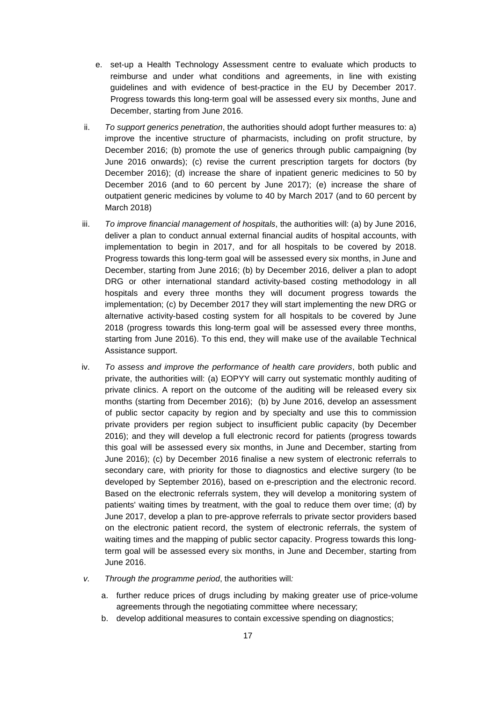- e. set-up a Health Technology Assessment centre to evaluate which products to reimburse and under what conditions and agreements, in line with existing guidelines and with evidence of best-practice in the EU by December 2017. Progress towards this long-term goal will be assessed every six months, June and December, starting from June 2016.
- ii. *To support generics penetration*, the authorities should adopt further measures to: a) improve the incentive structure of pharmacists, including on profit structure, by December 2016; (b) promote the use of generics through public campaigning (by June 2016 onwards); (c) revise the current prescription targets for doctors (by December 2016); (d) increase the share of inpatient generic medicines to 50 by December 2016 (and to 60 percent by June 2017); (e) increase the share of outpatient generic medicines by volume to 40 by March 2017 (and to 60 percent by March 2018)
- iii. *To improve financial management of hospitals*, the authorities will: (a) by June 2016, deliver a plan to conduct annual external financial audits of hospital accounts, with implementation to begin in 2017, and for all hospitals to be covered by 2018. Progress towards this long-term goal will be assessed every six months, in June and December, starting from June 2016; (b) by December 2016, deliver a plan to adopt DRG or other international standard activity-based costing methodology in all hospitals and every three months they will document progress towards the implementation; (c) by December 2017 they will start implementing the new DRG or alternative activity-based costing system for all hospitals to be covered by June 2018 (progress towards this long-term goal will be assessed every three months, starting from June 2016). To this end, they will make use of the available Technical Assistance support.
- iv. *To assess and improve the performance of health care providers*, both public and private, the authorities will: (a) EOPYY will carry out systematic monthly auditing of private clinics. A report on the outcome of the auditing will be released every six months (starting from December 2016); (b) by June 2016, develop an assessment of public sector capacity by region and by specialty and use this to commission private providers per region subject to insufficient public capacity (by December 2016); and they will develop a full electronic record for patients (progress towards this goal will be assessed every six months, in June and December, starting from June 2016); (c) by December 2016 finalise a new system of electronic referrals to secondary care, with priority for those to diagnostics and elective surgery (to be developed by September 2016), based on e-prescription and the electronic record. Based on the electronic referrals system, they will develop a monitoring system of patients' waiting times by treatment, with the goal to reduce them over time; (d) by June 2017, develop a plan to pre-approve referrals to private sector providers based on the electronic patient record, the system of electronic referrals, the system of waiting times and the mapping of public sector capacity. Progress towards this longterm goal will be assessed every six months, in June and December, starting from June 2016.
- *v. Through the programme period*, the authorities will*:*
	- a. further reduce prices of drugs including by making greater use of price-volume agreements through the negotiating committee where necessary;
	- b. develop additional measures to contain excessive spending on diagnostics;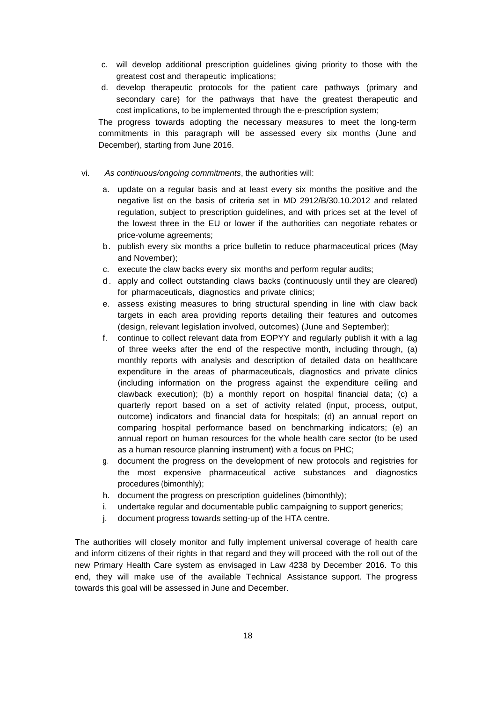- c. will develop additional prescription guidelines giving priority to those with the greatest cost and therapeutic implications;
- d. develop therapeutic protocols for the patient care pathways (primary and secondary care) for the pathways that have the greatest therapeutic and cost implications, to be implemented through the e-prescription system;

The progress towards adopting the necessary measures to meet the long-term commitments in this paragraph will be assessed every six months (June and December), starting from June 2016.

### vi. *As continuous/ongoing commitments*, the authorities will:

- a. update on a regular basis and at least every six months the positive and the negative list on the basis of criteria set in MD 2912/B/30.10.2012 and related regulation, subject to prescription guidelines, and with prices set at the level of the lowest three in the EU or lower if the authorities can negotiate rebates or price-volume agreements;
- b. publish every six months a price bulletin to reduce pharmaceutical prices (May and November);
- c. execute the claw backs every six months and perform regular audits;
- d . apply and collect outstanding claws backs (continuously until they are cleared) for pharmaceuticals, diagnostics and private clinics;
- e. assess existing measures to bring structural spending in line with claw back targets in each area providing reports detailing their features and outcomes (design, relevant legislation involved, outcomes) (June and September);
- f. continue to collect relevant data from EOPYY and regularly publish it with a lag of three weeks after the end of the respective month, including through, (a) monthly reports with analysis and description of detailed data on healthcare expenditure in the areas of pharmaceuticals, diagnostics and private clinics (including information on the progress against the expenditure ceiling and clawback execution); (b) a monthly report on hospital financial data; (c) a quarterly report based on a set of activity related (input, process, output, outcome) indicators and financial data for hospitals; (d) an annual report on comparing hospital performance based on benchmarking indicators; (e) an annual report on human resources for the whole health care sector (to be used as a human resource planning instrument) with a focus on PHC;
- g. document the progress on the development of new protocols and registries for the most expensive pharmaceutical active substances and diagnostics procedures (bimonthly);
- h. document the progress on prescription guidelines (bimonthly);
- i. undertake regular and documentable public campaigning to support generics;
- j. document progress towards setting-up of the HTA centre.

The authorities will closely monitor and fully implement universal coverage of health care and inform citizens of their rights in that regard and they will proceed with the roll out of the new Primary Health Care system as envisaged in Law 4238 by December 2016. To this end, they will make use of the available Technical Assistance support. The progress towards this goal will be assessed in June and December.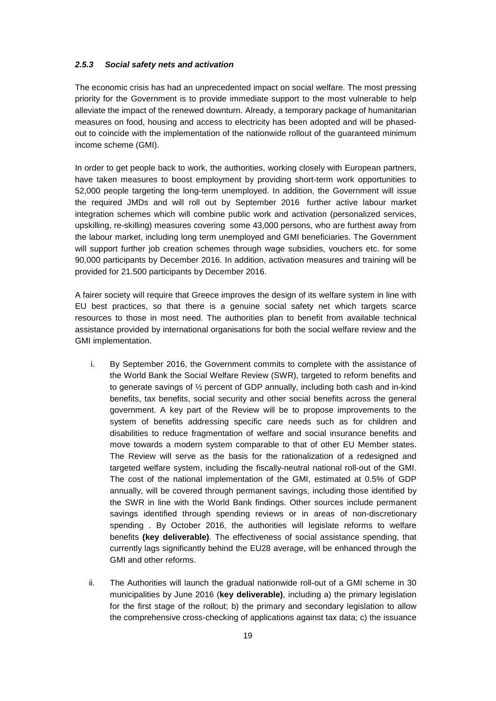### *2.5.3 Social safety nets and activation*

The economic crisis has had an unprecedented impact on social welfare. The most pressing priority for the Government is to provide immediate support to the most vulnerable to help alleviate the impact of the renewed downturn. Already, a temporary package of humanitarian measures on food, housing and access to electricity has been adopted and will be phasedout to coincide with the implementation of the nationwide rollout of the guaranteed minimum income scheme (GMI).

In order to get people back to work, the authorities, working closely with European partners, have taken measures to boost employment by providing short-term work opportunities to 52,000 people targeting the long-term unemployed. In addition, the Government will issue the required JMDs and will roll out by September 2016 further active labour market integration schemes which will combine public work and activation (personalized services, upskilling, re-skilling) measures covering some 43,000 persons, who are furthest away from the labour market, including long term unemployed and GMI beneficiaries. The Government will support further job creation schemes through wage subsidies, vouchers etc. for some 90,000 participants by December 2016. In addition, activation measures and training will be provided for 21.500 participants by December 2016.

A fairer society will require that Greece improves the design of its welfare system in line with EU best practices, so that there is a genuine social safety net which targets scarce resources to those in most need. The authorities plan to benefit from available technical assistance provided by international organisations for both the social welfare review and the GMI implementation.

- i. By September 2016, the Government commits to complete with the assistance of the World Bank the Social Welfare Review (SWR), targeted to reform benefits and to generate savings of ½ percent of GDP annually, including both cash and in-kind benefits, tax benefits, social security and other social benefits across the general government. A key part of the Review will be to propose improvements to the system of benefits addressing specific care needs such as for children and disabilities to reduce fragmentation of welfare and social insurance benefits and move towards a modern system comparable to that of other EU Member states. The Review will serve as the basis for the rationalization of a redesigned and targeted welfare system, including the fiscally-neutral national roll-out of the GMI. The cost of the national implementation of the GMI, estimated at 0.5% of GDP annually, will be covered through permanent savings, including those identified by the SWR in line with the World Bank findings. Other sources include permanent savings identified through spending reviews or in areas of non-discretionary spending . By October 2016, the authorities will legislate reforms to welfare benefits **(key deliverable)**. The effectiveness of social assistance spending, that currently lags significantly behind the EU28 average, will be enhanced through the GMI and other reforms.
- ii. The Authorities will launch the gradual nationwide roll-out of a GMI scheme in 30 municipalities by June 2016 (**key deliverable)**, including a) the primary legislation for the first stage of the rollout; b) the primary and secondary legislation to allow the comprehensive cross-checking of applications against tax data; c) the issuance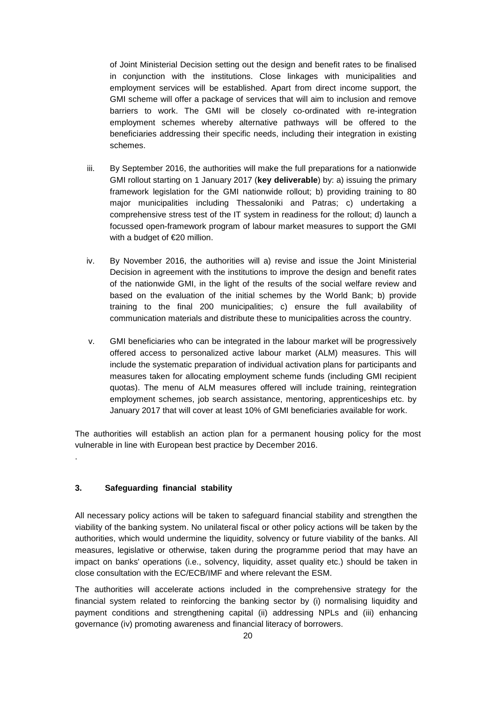of Joint Ministerial Decision setting out the design and benefit rates to be finalised in conjunction with the institutions. Close linkages with municipalities and employment services will be established. Apart from direct income support, the GMI scheme will offer a package of services that will aim to inclusion and remove barriers to work. The GMI will be closely co-ordinated with re-integration employment schemes whereby alternative pathways will be offered to the beneficiaries addressing their specific needs, including their integration in existing schemes.

- iii. By September 2016, the authorities will make the full preparations for a nationwide GMI rollout starting on 1 January 2017 (**key deliverable**) by: a) issuing the primary framework legislation for the GMI nationwide rollout; b) providing training to 80 major municipalities including Thessaloniki and Patras; c) undertaking a comprehensive stress test of the IT system in readiness for the rollout; d) launch a focussed open-framework program of labour market measures to support the GMI with a budget of €20 million.
- iv. By November 2016, the authorities will a) revise and issue the Joint Ministerial Decision in agreement with the institutions to improve the design and benefit rates of the nationwide GMI, in the light of the results of the social welfare review and based on the evaluation of the initial schemes by the World Bank; b) provide training to the final 200 municipalities; c) ensure the full availability of communication materials and distribute these to municipalities across the country.
- v. GMI beneficiaries who can be integrated in the labour market will be progressively offered access to personalized active labour market (ALM) measures. This will include the systematic preparation of individual activation plans for participants and measures taken for allocating employment scheme funds (including GMI recipient quotas). The menu of ALM measures offered will include training, reintegration employment schemes, job search assistance, mentoring, apprenticeships etc. by January 2017 that will cover at least 10% of GMI beneficiaries available for work.

The authorities will establish an action plan for a permanent housing policy for the most vulnerable in line with European best practice by December 2016.

### **3. Safeguarding financial stability**

.

All necessary policy actions will be taken to safeguard financial stability and strengthen the viability of the banking system. No unilateral fiscal or other policy actions will be taken by the authorities, which would undermine the liquidity, solvency or future viability of the banks. All measures, legislative or otherwise, taken during the programme period that may have an impact on banks' operations (i.e., solvency, liquidity, asset quality etc.) should be taken in close consultation with the EC/ECB/IMF and where relevant the ESM.

The authorities will accelerate actions included in the comprehensive strategy for the financial system related to reinforcing the banking sector by (i) normalising liquidity and payment conditions and strengthening capital (ii) addressing NPLs and (iii) enhancing governance (iv) promoting awareness and financial literacy of borrowers.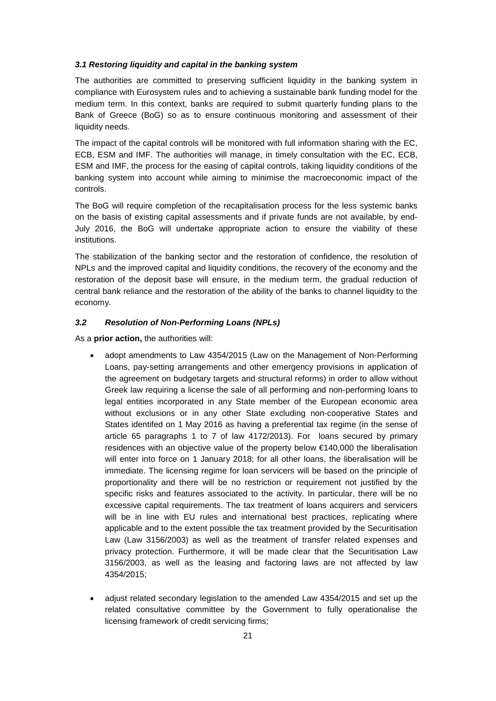#### *3.1 Restoring liquidity and capital in the banking system*

The authorities are committed to preserving sufficient liquidity in the banking system in compliance with Eurosystem rules and to achieving a sustainable bank funding model for the medium term. In this context, banks are required to submit quarterly funding plans to the Bank of Greece (BoG) so as to ensure continuous monitoring and assessment of their liquidity needs.

The impact of the capital controls will be monitored with full information sharing with the EC, ECB, ESM and IMF. The authorities will manage, in timely consultation with the EC, ECB, ESM and IMF, the process for the easing of capital controls, taking liquidity conditions of the banking system into account while aiming to minimise the macroeconomic impact of the controls.

The BoG will require completion of the recapitalisation process for the less systemic banks on the basis of existing capital assessments and if private funds are not available, by end-July 2016, the BoG will undertake appropriate action to ensure the viability of these institutions.

The stabilization of the banking sector and the restoration of confidence, the resolution of NPLs and the improved capital and liquidity conditions, the recovery of the economy and the restoration of the deposit base will ensure, in the medium term, the gradual reduction of central bank reliance and the restoration of the ability of the banks to channel liquidity to the economy.

#### *3.2 Resolution of Non-Performing Loans (NPLs)*

As a **prior action,** the authorities will:

- adopt amendments to Law 4354/2015 (Law on the Management of Non-Performing Loans, pay-setting arrangements and other emergency provisions in application of the agreement on budgetary targets and structural reforms) in order to allow without Greek law requiring a license the sale of all performing and non-performing loans to legal entities incorporated in any State member of the European economic area without exclusions or in any other State excluding non-cooperative States and States identifed on 1 May 2016 as having a preferential tax regime (in the sense of article 65 paragraphs 1 to 7 of law 4172/2013). For loans secured by primary residences with an objective value of the property below €140,000 the liberalisation will enter into force on 1 January 2018; for all other loans, the liberalisation will be immediate. The licensing regime for loan servicers will be based on the principle of proportionality and there will be no restriction or requirement not justified by the specific risks and features associated to the activity. In particular, there will be no excessive capital requirements. The tax treatment of loans acquirers and servicers will be in line with EU rules and international best practices, replicating where applicable and to the extent possible the tax treatment provided by the Securitisation Law (Law 3156/2003) as well as the treatment of transfer related expenses and privacy protection. Furthermore, it will be made clear that the Securitisation Law 3156/2003, as well as the leasing and factoring laws are not affected by law 4354/2015;
- adjust related secondary legislation to the amended Law 4354/2015 and set up the related consultative committee by the Government to fully operationalise the licensing framework of credit servicing firms;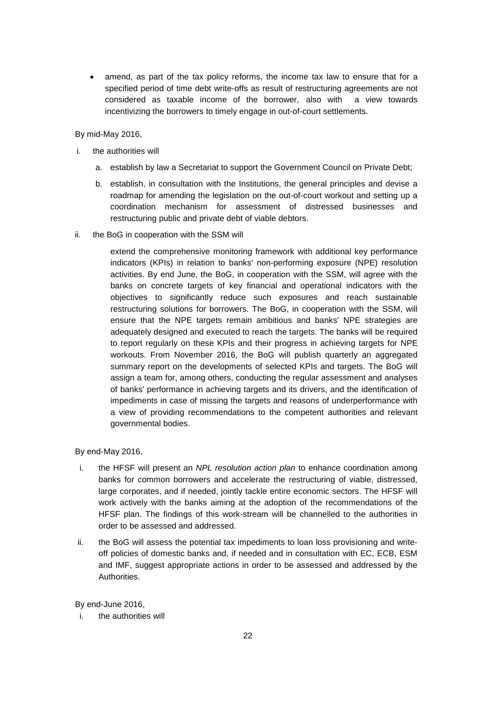amend, as part of the tax policy reforms, the income tax law to ensure that for a specified period of time debt write-offs as result of restructuring agreements are not considered as taxable income of the borrower, also with a view towards incentivizing the borrowers to timely engage in out-of-court settlements.

By mid-May 2016,

- i. the authorities will
	- a. establish by law a Secretariat to support the Government Council on Private Debt;
	- b. establish, in consultation with the Institutions, the general principles and devise a roadmap for amending the legislation on the out-of-court workout and setting up a coordination mechanism for assessment of distressed businesses and restructuring public and private debt of viable debtors.
- ii. the BoG in cooperation with the SSM will

extend the comprehensive monitoring framework with additional key performance indicators (KPIs) in relation to banks' non-performing exposure (NPE) resolution activities. By end June, the BoG, in cooperation with the SSM, will agree with the banks on concrete targets of key financial and operational indicators with the objectives to significantly reduce such exposures and reach sustainable restructuring solutions for borrowers. The BoG, in cooperation with the SSM, will ensure that the NPE targets remain ambitious and banks' NPE strategies are adequately designed and executed to reach the targets. The banks will be required to report regularly on these KPIs and their progress in achieving targets for NPE workouts. From November 2016, the BoG will publish quarterly an aggregated summary report on the developments of selected KPIs and targets. The BoG will assign a team for, among others, conducting the regular assessment and analyses of banks' performance in achieving targets and its drivers, and the identification of impediments in case of missing the targets and reasons of underperformance with a view of providing recommendations to the competent authorities and relevant governmental bodies.

By end-May 2016,

- i. the HFSF will present an *NPL resolution action plan* to enhance coordination among banks for common borrowers and accelerate the restructuring of viable, distressed, large corporates, and if needed, jointly tackle entire economic sectors. The HFSF will work actively with the banks aiming at the adoption of the recommendations of the HFSF plan. The findings of this work-stream will be channelled to the authorities in order to be assessed and addressed.
- ii. the BoG will assess the potential tax impediments to loan loss provisioning and writeoff policies of domestic banks and, if needed and in consultation with EC, ECB, ESM and IMF, suggest appropriate actions in order to be assessed and addressed by the Authorities.

By end-June 2016,

i. the authorities will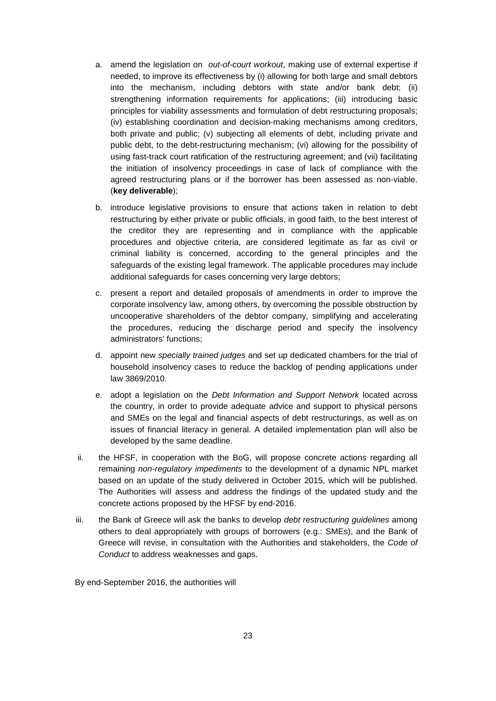- a. amend the legislation on *out-of-court workout*, making use of external expertise if needed, to improve its effectiveness by (i) allowing for both large and small debtors into the mechanism, including debtors with state and/or bank debt; (ii) strengthening information requirements for applications; (iii) introducing basic principles for viability assessments and formulation of debt restructuring proposals; (iv) establishing coordination and decision-making mechanisms among creditors, both private and public; (v) subjecting all elements of debt, including private and public debt, to the debt-restructuring mechanism; (vi) allowing for the possibility of using fast-track court ratification of the restructuring agreement; and (vii) facilitating the initiation of insolvency proceedings in case of lack of compliance with the agreed restructuring plans or if the borrower has been assessed as non-viable. (**key deliverable**);
- b. introduce legislative provisions to ensure that actions taken in relation to debt restructuring by either private or public officials, in good faith, to the best interest of the creditor they are representing and in compliance with the applicable procedures and objective criteria, are considered legitimate as far as civil or criminal liability is concerned, according to the general principles and the safeguards of the existing legal framework. The applicable procedures may include additional safeguards for cases concerning very large debtors;
- c. present a report and detailed proposals of amendments in order to improve the corporate insolvency law, among others, by overcoming the possible obstruction by uncooperative shareholders of the debtor company, simplifying and accelerating the procedures, reducing the discharge period and specify the insolvency administrators' functions;
- d. appoint new *specially trained judges* and set up dedicated chambers for the trial of household insolvency cases to reduce the backlog of pending applications under law 3869/2010.
- e. adopt a legislation on the *Debt Information and Support Network* located across the country, in order to provide adequate advice and support to physical persons and SMEs on the legal and financial aspects of debt restructurings, as well as on issues of financial literacy in general. A detailed implementation plan will also be developed by the same deadline.
- ii. the HFSF, in cooperation with the BoG, will propose concrete actions regarding all remaining *non-regulatory impediments* to the development of a dynamic NPL market based on an update of the study delivered in October 2015, which will be published. The Authorities will assess and address the findings of the updated study and the concrete actions proposed by the HFSF by end-2016.
- iii. the Bank of Greece will ask the banks to develop *debt restructuring guidelines* among others to deal appropriately with groups of borrowers (e.g.: SMEs), and the Bank of Greece will revise, in consultation with the Authorities and stakeholders, the *Code of Conduct* to address weaknesses and gaps.

By end-September 2016, the authorities will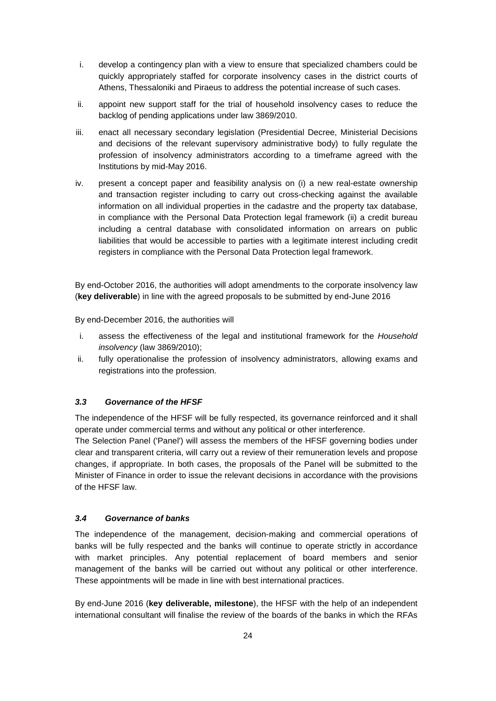- i. develop a contingency plan with a view to ensure that specialized chambers could be quickly appropriately staffed for corporate insolvency cases in the district courts of Athens, Thessaloniki and Piraeus to address the potential increase of such cases.
- ii. appoint new support staff for the trial of household insolvency cases to reduce the backlog of pending applications under law 3869/2010.
- iii. enact all necessary secondary legislation (Presidential Decree, Ministerial Decisions and decisions of the relevant supervisory administrative body) to fully regulate the profession of insolvency administrators according to a timeframe agreed with the Institutions by mid-May 2016.
- iv. present a concept paper and feasibility analysis on (i) a new real-estate ownership and transaction register including to carry out cross-checking against the available information on all individual properties in the cadastre and the property tax database, in compliance with the Personal Data Protection legal framework (ii) a credit bureau including a central database with consolidated information on arrears on public liabilities that would be accessible to parties with a legitimate interest including credit registers in compliance with the Personal Data Protection legal framework.

By end-October 2016, the authorities will adopt amendments to the corporate insolvency law (**key deliverable**) in line with the agreed proposals to be submitted by end-June 2016

By end-December 2016, the authorities will

- i. assess the effectiveness of the legal and institutional framework for the *Household insolvency* (law 3869/2010);
- ii. fully operationalise the profession of insolvency administrators, allowing exams and registrations into the profession.

# *3.3 Governance of the HFSF*

The independence of the HFSF will be fully respected, its governance reinforced and it shall operate under commercial terms and without any political or other interference.

The Selection Panel ('Panel') will assess the members of the HFSF governing bodies under clear and transparent criteria, will carry out a review of their remuneration levels and propose changes, if appropriate. In both cases, the proposals of the Panel will be submitted to the Minister of Finance in order to issue the relevant decisions in accordance with the provisions of the HFSF law.

## *3.4 Governance of banks*

The independence of the management, decision-making and commercial operations of banks will be fully respected and the banks will continue to operate strictly in accordance with market principles. Any potential replacement of board members and senior management of the banks will be carried out without any political or other interference. These appointments will be made in line with best international practices.

By end-June 2016 (**key deliverable, milestone**), the HFSF with the help of an independent international consultant will finalise the review of the boards of the banks in which the RFAs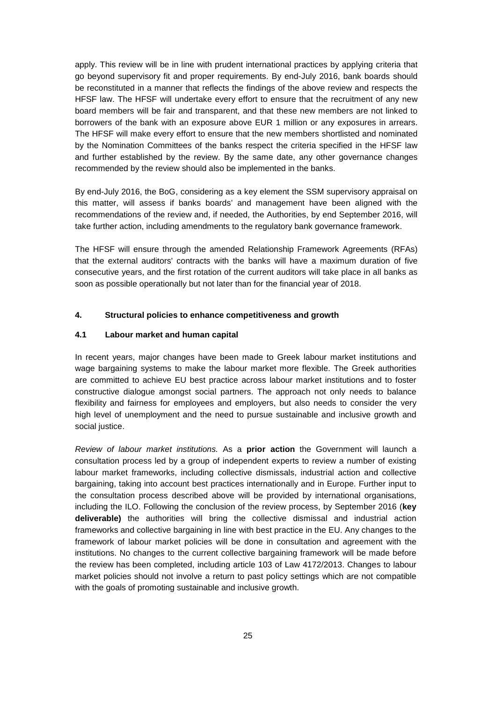apply. This review will be in line with prudent international practices by applying criteria that go beyond supervisory fit and proper requirements. By end-July 2016, bank boards should be reconstituted in a manner that reflects the findings of the above review and respects the HFSF law. The HFSF will undertake every effort to ensure that the recruitment of any new board members will be fair and transparent, and that these new members are not linked to borrowers of the bank with an exposure above EUR 1 million or any exposures in arrears. The HFSF will make every effort to ensure that the new members shortlisted and nominated by the Nomination Committees of the banks respect the criteria specified in the HFSF law and further established by the review. By the same date, any other governance changes recommended by the review should also be implemented in the banks.

By end-July 2016, the BoG, considering as a key element the SSM supervisory appraisal on this matter, will assess if banks boards' and management have been aligned with the recommendations of the review and, if needed, the Authorities, by end September 2016, will take further action, including amendments to the regulatory bank governance framework.

The HFSF will ensure through the amended Relationship Framework Agreements (RFAs) that the external auditors' contracts with the banks will have a maximum duration of five consecutive years, and the first rotation of the current auditors will take place in all banks as soon as possible operationally but not later than for the financial year of 2018.

### **4. Structural policies to enhance competitiveness and growth**

### **4.1 Labour market and human capital**

In recent years, major changes have been made to Greek labour market institutions and wage bargaining systems to make the labour market more flexible. The Greek authorities are committed to achieve EU best practice across labour market institutions and to foster constructive dialogue amongst social partners. The approach not only needs to balance flexibility and fairness for employees and employers, but also needs to consider the very high level of unemployment and the need to pursue sustainable and inclusive growth and social justice.

*Review of labour market institutions.* As a **prior action** the Government will launch a consultation process led by a group of independent experts to review a number of existing labour market frameworks, including collective dismissals, industrial action and collective bargaining, taking into account best practices internationally and in Europe. Further input to the consultation process described above will be provided by international organisations, including the ILO. Following the conclusion of the review process, by September 2016 (**key deliverable)** the authorities will bring the collective dismissal and industrial action frameworks and collective bargaining in line with best practice in the EU. Any changes to the framework of labour market policies will be done in consultation and agreement with the institutions. No changes to the current collective bargaining framework will be made before the review has been completed, including article 103 of Law 4172/2013. Changes to labour market policies should not involve a return to past policy settings which are not compatible with the goals of promoting sustainable and inclusive growth.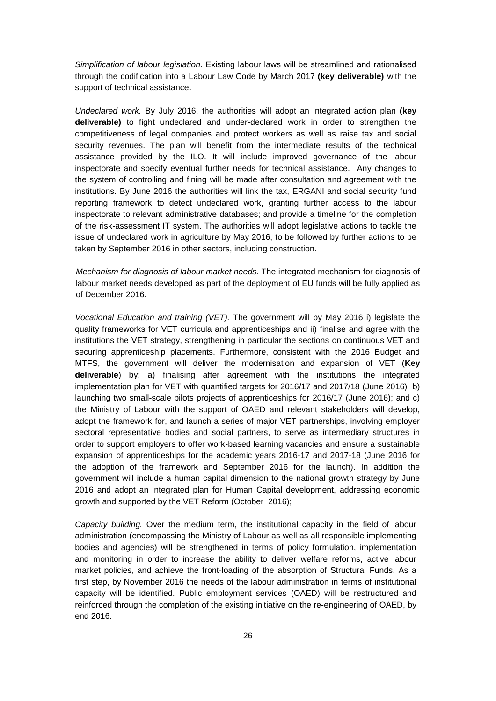*Simplification of labour legislation*. Existing labour laws will be streamlined and rationalised through the codification into a Labour Law Code by March 2017 **(key deliverable)** with the support of technical assistance**.**

*Undeclared work.* By July 2016, the authorities will adopt an integrated action plan **(key deliverable)** to fight undeclared and under-declared work in order to strengthen the competitiveness of legal companies and protect workers as well as raise tax and social security revenues. The plan will benefit from the intermediate results of the technical assistance provided by the ILO. It will include improved governance of the labour inspectorate and specify eventual further needs for technical assistance. Any changes to the system of controlling and fining will be made after consultation and agreement with the institutions. By June 2016 the authorities will link the tax, ERGANI and social security fund reporting framework to detect undeclared work, granting further access to the labour inspectorate to relevant administrative databases; and provide a timeline for the completion of the risk-assessment IT system. The authorities will adopt legislative actions to tackle the issue of undeclared work in agriculture by May 2016, to be followed by further actions to be taken by September 2016 in other sectors, including construction.

*Mechanism for diagnosis of labour market needs.* The integrated mechanism for diagnosis of labour market needs developed as part of the deployment of EU funds will be fully applied as of December 2016.

*Vocational Education and training (VET).* The government will by May 2016 i) legislate the quality frameworks for VET curricula and apprenticeships and ii) finalise and agree with the institutions the VET strategy, strengthening in particular the sections on continuous VET and securing apprenticeship placements. Furthermore, consistent with the 2016 Budget and MTFS, the government will deliver the modernisation and expansion of VET (**Key deliverable**) by: a) finalising after agreement with the institutions the integrated implementation plan for VET with quantified targets for 2016/17 and 2017/18 (June 2016) b) launching two small-scale pilots projects of apprenticeships for 2016/17 (June 2016); and c) the Ministry of Labour with the support of OAED and relevant stakeholders will develop, adopt the framework for, and launch a series of major VET partnerships, involving employer sectoral representative bodies and social partners, to serve as intermediary structures in order to support employers to offer work-based learning vacancies and ensure a sustainable expansion of apprenticeships for the academic years 2016-17 and 2017-18 (June 2016 for the adoption of the framework and September 2016 for the launch). In addition the government will include a human capital dimension to the national growth strategy by June 2016 and adopt an integrated plan for Human Capital development, addressing economic growth and supported by the VET Reform (October 2016);

*Capacity building.* Over the medium term, the institutional capacity in the field of labour administration (encompassing the Ministry of Labour as well as all responsible implementing bodies and agencies) will be strengthened in terms of policy formulation, implementation and monitoring in order to increase the ability to deliver welfare reforms, active labour market policies, and achieve the front-loading of the absorption of Structural Funds. As a first step, by November 2016 the needs of the labour administration in terms of institutional capacity will be identified. Public employment services (OAED) will be restructured and reinforced through the completion of the existing initiative on the re-engineering of OAED, by end 2016.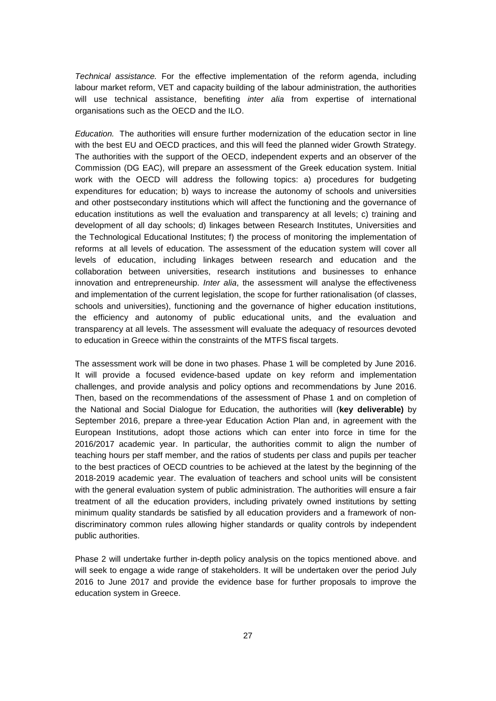*Technical assistance.* For the effective implementation of the reform agenda, including labour market reform, VET and capacity building of the labour administration, the authorities will use technical assistance, benefiting *inter alia* from expertise of international organisations such as the OECD and the ILO.

*Education.* The authorities will ensure further modernization of the education sector in line with the best EU and OECD practices, and this will feed the planned wider Growth Strategy. The authorities with the support of the OECD, independent experts and an observer of the Commission (DG EAC), will prepare an assessment of the Greek education system. Initial work with the OECD will address the following topics: a) procedures for budgeting expenditures for education; b) ways to increase the autonomy of schools and universities and other postsecondary institutions which will affect the functioning and the governance of education institutions as well the evaluation and transparency at all levels; c) training and development of all day schools; d) linkages between Research Institutes, Universities and the Technological Educational Institutes; f) the process of monitoring the implementation of reforms at all levels of education. The assessment of the education system will cover all levels of education, including linkages between research and education and the collaboration between universities, research institutions and businesses to enhance innovation and entrepreneurship. *Inter alia*, the assessment will analyse the effectiveness and implementation of the current legislation, the scope for further rationalisation (of classes, schools and universities), functioning and the governance of higher education institutions, the efficiency and autonomy of public educational units, and the evaluation and transparency at all levels. The assessment will evaluate the adequacy of resources devoted to education in Greece within the constraints of the MTFS fiscal targets.

The assessment work will be done in two phases. Phase 1 will be completed by June 2016. It will provide a focused evidence-based update on key reform and implementation challenges, and provide analysis and policy options and recommendations by June 2016. Then, based on the recommendations of the assessment of Phase 1 and on completion of the National and Social Dialogue for Education, the authorities will (**key deliverable)** by September 2016, prepare a three-year Education Action Plan and, in agreement with the European Institutions, adopt those actions which can enter into force in time for the 2016/2017 academic year. In particular, the authorities commit to align the number of teaching hours per staff member, and the ratios of students per class and pupils per teacher to the best practices of OECD countries to be achieved at the latest by the beginning of the 2018-2019 academic year. The evaluation of teachers and school units will be consistent with the general evaluation system of public administration. The authorities will ensure a fair treatment of all the education providers, including privately owned institutions by setting minimum quality standards be satisfied by all education providers and a framework of nondiscriminatory common rules allowing higher standards or quality controls by independent public authorities.

Phase 2 will undertake further in-depth policy analysis on the topics mentioned above. and will seek to engage a wide range of stakeholders. It will be undertaken over the period July 2016 to June 2017 and provide the evidence base for further proposals to improve the education system in Greece.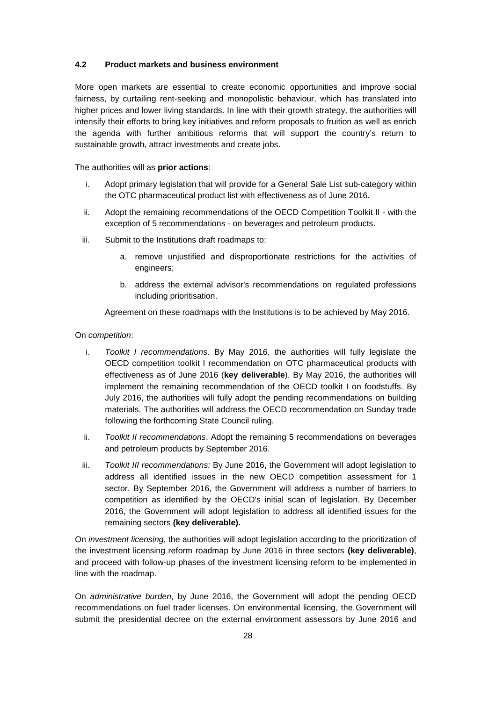# **4.2 Product markets and business environment**

More open markets are essential to create economic opportunities and improve social fairness, by curtailing rent-seeking and monopolistic behaviour, which has translated into higher prices and lower living standards. In line with their growth strategy, the authorities will intensify their efforts to bring key initiatives and reform proposals to fruition as well as enrich the agenda with further ambitious reforms that will support the country's return to sustainable growth, attract investments and create jobs.

The authorities will as **prior actions**:

- i. Adopt primary legislation that will provide for a General Sale List sub-category within the OTC pharmaceutical product list with effectiveness as of June 2016.
- ii. Adopt the remaining recommendations of the OECD Competition Toolkit II with the exception of 5 recommendations - on beverages and petroleum products.
- iii. Submit to the Institutions draft roadmaps to:
	- a. remove unjustified and disproportionate restrictions for the activities of engineers;
	- b. address the external advisor's recommendations on regulated professions including prioritisation.

Agreement on these roadmaps with the Institutions is to be achieved by May 2016.

### On *competition*:

- i. *Toolkit I recommendations*. By May 2016, the authorities will fully legislate the OECD competition toolkit I recommendation on OTC pharmaceutical products with effectiveness as of June 2016 (**key deliverable**). By May 2016, the authorities will implement the remaining recommendation of the OECD toolkit I on foodstuffs. By July 2016, the authorities will fully adopt the pending recommendations on building materials. The authorities will address the OECD recommendation on Sunday trade following the forthcoming State Council ruling.
- ii. *Toolkit II recommendations*. Adopt the remaining 5 recommendations on beverages and petroleum products by September 2016.
- iii. *Toolkit III recommendations:* By June 2016, the Government will adopt legislation to address all identified issues in the new OECD competition assessment for 1 sector. By September 2016, the Government will address a number of barriers to competition as identified by the OECD's initial scan of legislation. By December 2016, the Government will adopt legislation to address all identified issues for the remaining sectors **(key deliverable).**

On *investment licensing*, the authorities will adopt legislation according to the prioritization of the investment licensing reform roadmap by June 2016 in three sectors **(key deliverable)**, and proceed with follow-up phases of the investment licensing reform to be implemented in line with the roadmap.

On *administrative burden*, by June 2016, the Government will adopt the pending OECD recommendations on fuel trader licenses. On environmental licensing, the Government will submit the presidential decree on the external environment assessors by June 2016 and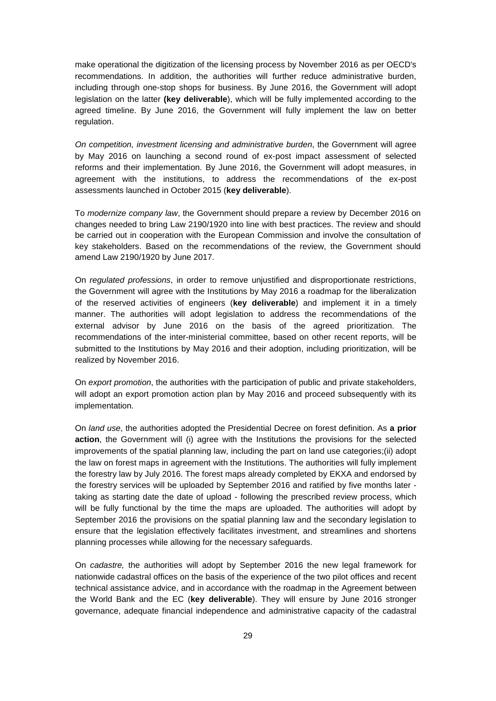make operational the digitization of the licensing process by November 2016 as per OECD's recommendations. In addition, the authorities will further reduce administrative burden, including through one-stop shops for business. By June 2016, the Government will adopt legislation on the latter **(key deliverable**), which will be fully implemented according to the agreed timeline. By June 2016, the Government will fully implement the law on better regulation.

*On competition, investment licensing and administrative burden*, the Government will agree by May 2016 on launching a second round of ex-post impact assessment of selected reforms and their implementation. By June 2016, the Government will adopt measures, in agreement with the institutions, to address the recommendations of the ex-post assessments launched in October 2015 (**key deliverable**).

To *modernize company law*, the Government should prepare a review by December 2016 on changes needed to bring Law 2190/1920 into line with best practices. The review and should be carried out in cooperation with the European Commission and involve the consultation of key stakeholders. Based on the recommendations of the review, the Government should amend Law 2190/1920 by June 2017.

On *regulated professions*, in order to remove unjustified and disproportionate restrictions, the Government will agree with the Institutions by May 2016 a roadmap for the liberalization of the reserved activities of engineers (**key deliverable**) and implement it in a timely manner. The authorities will adopt legislation to address the recommendations of the external advisor by June 2016 on the basis of the agreed prioritization. The recommendations of the inter-ministerial committee, based on other recent reports, will be submitted to the Institutions by May 2016 and their adoption, including prioritization, will be realized by November 2016.

On *export promotion*, the authorities with the participation of public and private stakeholders, will adopt an export promotion action plan by May 2016 and proceed subsequently with its implementation.

On *land use*, the authorities adopted the Presidential Decree on forest definition. As **a prior action**, the Government will (i) agree with the Institutions the provisions for the selected improvements of the spatial planning law, including the part on land use categories;(ii) adopt the law on forest maps in agreement with the Institutions. The authorities will fully implement the forestry law by July 2016. The forest maps already completed by EKXA and endorsed by the forestry services will be uploaded by September 2016 and ratified by five months later taking as starting date the date of upload - following the prescribed review process, which will be fully functional by the time the maps are uploaded. The authorities will adopt by September 2016 the provisions on the spatial planning law and the secondary legislation to ensure that the legislation effectively facilitates investment, and streamlines and shortens planning processes while allowing for the necessary safeguards.

On *cadastre,* the authorities will adopt by September 2016 the new legal framework for nationwide cadastral offices on the basis of the experience of the two pilot offices and recent technical assistance advice, and in accordance with the roadmap in the Agreement between the World Bank and the EC (**key deliverable**). They will ensure by June 2016 stronger governance, adequate financial independence and administrative capacity of the cadastral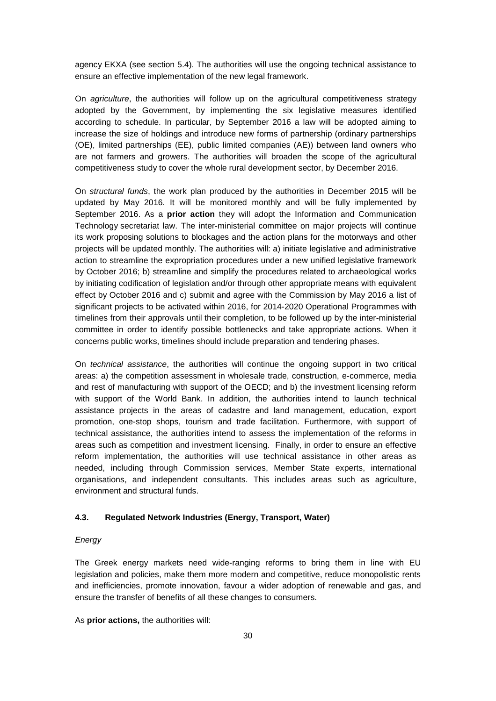agency EKXA (see section 5.4). The authorities will use the ongoing technical assistance to ensure an effective implementation of the new legal framework.

On *agriculture*, the authorities will follow up on the agricultural competitiveness strategy adopted by the Government, by implementing the six legislative measures identified according to schedule. In particular, by September 2016 a law will be adopted aiming to increase the size of holdings and introduce new forms of partnership (ordinary partnerships (OE), limited partnerships (EE), public limited companies (AE)) between land owners who are not farmers and growers. The authorities will broaden the scope of the agricultural competitiveness study to cover the whole rural development sector, by December 2016.

On *structural funds*, the work plan produced by the authorities in December 2015 will be updated by May 2016. It will be monitored monthly and will be fully implemented by September 2016. As a **prior action** they will adopt the Information and Communication Technology secretariat law. The inter-ministerial committee on major projects will continue its work proposing solutions to blockages and the action plans for the motorways and other projects will be updated monthly. The authorities will: a) initiate legislative and administrative action to streamline the expropriation procedures under a new unified legislative framework by October 2016; b) streamline and simplify the procedures related to archaeological works by initiating codification of legislation and/or through other appropriate means with equivalent effect by October 2016 and c) submit and agree with the Commission by May 2016 a list of significant projects to be activated within 2016, for 2014-2020 Operational Programmes with timelines from their approvals until their completion, to be followed up by the inter-ministerial committee in order to identify possible bottlenecks and take appropriate actions. When it concerns public works, timelines should include preparation and tendering phases.

On *technical assistance*, the authorities will continue the ongoing support in two critical areas: a) the competition assessment in wholesale trade, construction, e-commerce, media and rest of manufacturing with support of the OECD; and b) the investment licensing reform with support of the World Bank. In addition, the authorities intend to launch technical assistance projects in the areas of cadastre and land management, education, export promotion, one-stop shops, tourism and trade facilitation. Furthermore, with support of technical assistance, the authorities intend to assess the implementation of the reforms in areas such as competition and investment licensing. Finally, in order to ensure an effective reform implementation, the authorities will use technical assistance in other areas as needed, including through Commission services, Member State experts, international organisations, and independent consultants. This includes areas such as agriculture, environment and structural funds.

# **4.3. Regulated Network Industries (Energy, Transport, Water)**

#### *Energy*

The Greek energy markets need wide-ranging reforms to bring them in line with EU legislation and policies, make them more modern and competitive, reduce monopolistic rents and inefficiencies, promote innovation, favour a wider adoption of renewable and gas, and ensure the transfer of benefits of all these changes to consumers.

As **prior actions,** the authorities will: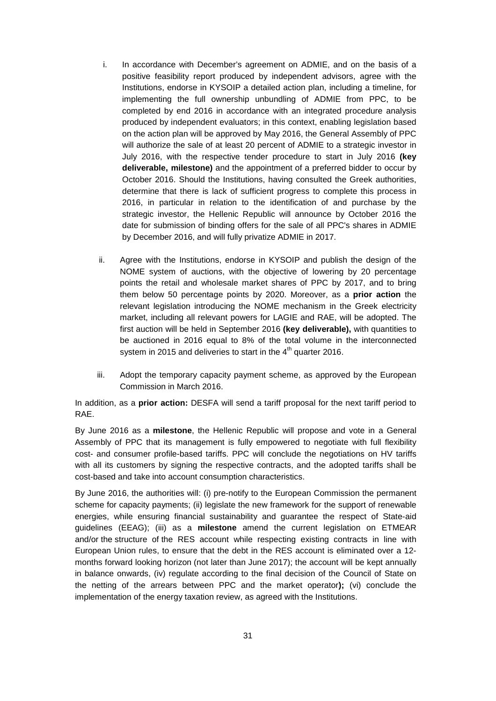- i. In accordance with December's agreement on ADMIE, and on the basis of a positive feasibility report produced by independent advisors, agree with the Institutions, endorse in KYSOIP a detailed action plan, including a timeline, for implementing the full ownership unbundling of ADMIE from PPC, to be completed by end 2016 in accordance with an integrated procedure analysis produced by independent evaluators; in this context, enabling legislation based on the action plan will be approved by May 2016, the General Assembly of PPC will authorize the sale of at least 20 percent of ADMIE to a strategic investor in July 2016, with the respective tender procedure to start in July 2016 **(key deliverable, milestone)** and the appointment of a preferred bidder to occur by October 2016. Should the Institutions, having consulted the Greek authorities, determine that there is lack of sufficient progress to complete this process in 2016, in particular in relation to the identification of and purchase by the strategic investor, the Hellenic Republic will announce by October 2016 the date for submission of binding offers for the sale of all PPC's shares in ADMIE by December 2016, and will fully privatize ADMIE in 2017.
- ii. Agree with the Institutions, endorse in KYSOIP and publish the design of the NOME system of auctions, with the objective of lowering by 20 percentage points the retail and wholesale market shares of PPC by 2017, and to bring them below 50 percentage points by 2020. Moreover, as a **prior action** the relevant legislation introducing the NOME mechanism in the Greek electricity market, including all relevant powers for LAGIE and RAE, will be adopted. The first auction will be held in September 2016 **(key deliverable),** with quantities to be auctioned in 2016 equal to 8% of the total volume in the interconnected system in 2015 and deliveries to start in the  $4<sup>th</sup>$  quarter 2016.
- iii. Adopt the temporary capacity payment scheme, as approved by the European Commission in March 2016.

In addition, as a **prior action:** DESFA will send a tariff proposal for the next tariff period to RAE.

By June 2016 as a **milestone**, the Hellenic Republic will propose and vote in a General Assembly of PPC that its management is fully empowered to negotiate with full flexibility cost- and consumer profile-based tariffs. PPC will conclude the negotiations on HV tariffs with all its customers by signing the respective contracts, and the adopted tariffs shall be cost-based and take into account consumption characteristics.

By June 2016, the authorities will: (i) pre-notify to the European Commission the permanent scheme for capacity payments; (ii) legislate the new framework for the support of renewable energies, while ensuring financial sustainability and guarantee the respect of State-aid guidelines (EEAG); (iii) as a **milestone** amend the current legislation on ETMEAR and/or the structure of the RES account while respecting existing contracts in line with European Union rules, to ensure that the debt in the RES account is eliminated over a 12 months forward looking horizon (not later than June 2017); the account will be kept annually in balance onwards, (iv) regulate according to the final decision of the Council of State on the netting of the arrears between PPC and the market operator**);** (vi) conclude the implementation of the energy taxation review, as agreed with the Institutions.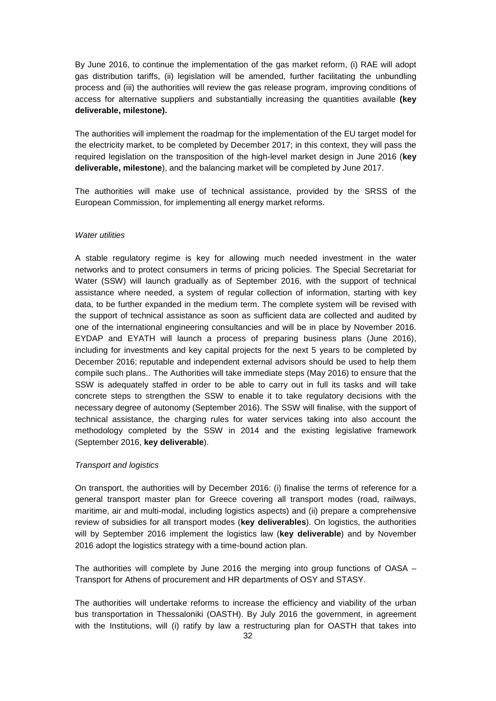By June 2016, to continue the implementation of the gas market reform, (i) RAE will adopt gas distribution tariffs, (ii) legislation will be amended, further facilitating the unbundling process and (iii) the authorities will review the gas release program, improving conditions of access for alternative suppliers and substantially increasing the quantities available **(key deliverable, milestone).**

The authorities will implement the roadmap for the implementation of the EU target model for the electricity market, to be completed by December 2017; in this context, they will pass the required legislation on the transposition of the high-level market design in June 2016 (**key deliverable, milestone**), and the balancing market will be completed by June 2017.

The authorities will make use of technical assistance, provided by the SRSS of the European Commission, for implementing all energy market reforms.

## *Water utilities*

A stable regulatory regime is key for allowing much needed investment in the water networks and to protect consumers in terms of pricing policies. The Special Secretariat for Water (SSW) will launch gradually as of September 2016, with the support of technical assistance where needed, a system of regular collection of information, starting with key data, to be further expanded in the medium term. The complete system will be revised with the support of technical assistance as soon as sufficient data are collected and audited by one of the international engineering consultancies and will be in place by November 2016. EYDAP and EYATH will launch a process of preparing business plans (June 2016), including for investments and key capital projects for the next 5 years to be completed by December 2016; reputable and independent external advisors should be used to help them compile such plans.. The Authorities will take immediate steps (May 2016) to ensure that the SSW is adequately staffed in order to be able to carry out in full its tasks and will take concrete steps to strengthen the SSW to enable it to take regulatory decisions with the necessary degree of autonomy (September 2016). The SSW will finalise, with the support of technical assistance, the charging rules for water services taking into also account the methodology completed by the SSW in 2014 and the existing legislative framework (September 2016, **key deliverable**).

#### *Transport and logistics*

On transport, the authorities will by December 2016: (i) finalise the terms of reference for a general transport master plan for Greece covering all transport modes (road, railways, maritime, air and multi-modal, including logistics aspects) and (ii) prepare a comprehensive review of subsidies for all transport modes (**key deliverables**). On logistics, the authorities will by September 2016 implement the logistics law (**key deliverable**) and by November 2016 adopt the logistics strategy with a time-bound action plan.

The authorities will complete by June 2016 the merging into group functions of OASA – Transport for Athens of procurement and HR departments of OSY and STASY.

The authorities will undertake reforms to increase the efficiency and viability of the urban bus transportation in Thessaloniki (OASTH). By July 2016 the government, in agreement with the Institutions, will (i) ratify by law a restructuring plan for OASTH that takes into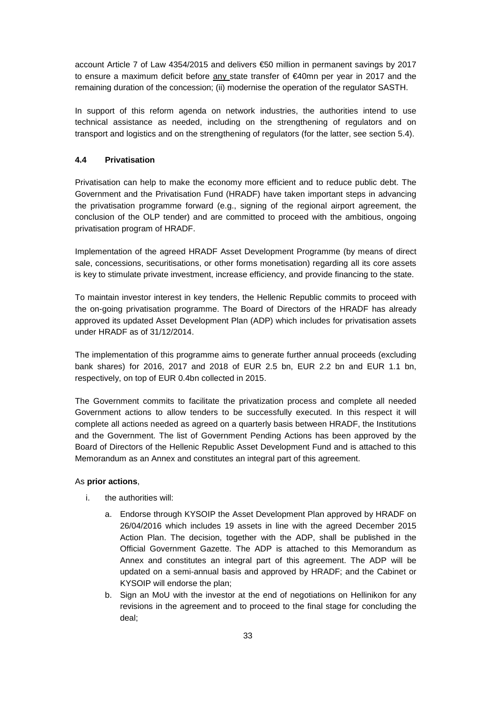account Article 7 of Law 4354/2015 and delivers €50 million in permanent savings by 2017 to ensure a maximum deficit before  $\frac{\text{any}}{\text{state}}$  transfer of  $\in$ 40mn per year in 2017 and the remaining duration of the concession; (ii) modernise the operation of the regulator SASTH.

In support of this reform agenda on network industries, the authorities intend to use technical assistance as needed, including on the strengthening of regulators and on transport and logistics and on the strengthening of regulators (for the latter, see section 5.4).

# **4.4 Privatisation**

Privatisation can help to make the economy more efficient and to reduce public debt. The Government and the Privatisation Fund (HRADF) have taken important steps in advancing the privatisation programme forward (e.g., signing of the regional airport agreement, the conclusion of the OLP tender) and are committed to proceed with the ambitious, ongoing privatisation program of HRADF.

Implementation of the agreed HRADF Asset Development Programme (by means of direct sale, concessions, securitisations, or other forms monetisation) regarding all its core assets is key to stimulate private investment, increase efficiency, and provide financing to the state.

To maintain investor interest in key tenders, the Hellenic Republic commits to proceed with the on-going privatisation programme. The Board of Directors of the HRADF has already approved its updated Asset Development Plan (ADP) which includes for privatisation assets under HRADF as of 31/12/2014.

The implementation of this programme aims to generate further annual proceeds (excluding bank shares) for 2016, 2017 and 2018 of EUR 2.5 bn, EUR 2.2 bn and EUR 1.1 bn, respectively, on top of EUR 0.4bn collected in 2015.

The Government commits to facilitate the privatization process and complete all needed Government actions to allow tenders to be successfully executed. In this respect it will complete all actions needed as agreed on a quarterly basis between HRADF, the Institutions and the Government. The list of Government Pending Actions has been approved by the Board of Directors of the Hellenic Republic Asset Development Fund and is attached to this Memorandum as an Annex and constitutes an integral part of this agreement.

### As **prior actions**,

- i. the authorities will:
	- a. Endorse through KYSOIP the Asset Development Plan approved by HRADF on 26/04/2016 which includes 19 assets in line with the agreed December 2015 Action Plan. The decision, together with the ADP, shall be published in the Official Government Gazette. The ADP is attached to this Memorandum as Annex and constitutes an integral part of this agreement. The ADP will be updated on a semi-annual basis and approved by HRADF; and the Cabinet or KYSOIP will endorse the plan;
	- b. Sign an MoU with the investor at the end of negotiations on Hellinikon for any revisions in the agreement and to proceed to the final stage for concluding the deal;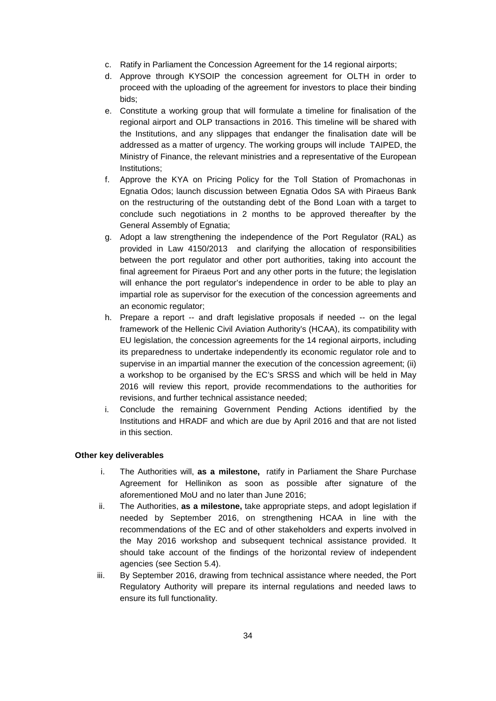- c. Ratify in Parliament the Concession Agreement for the 14 regional airports;
- d. Approve through KYSOIP the concession agreement for OLTH in order to proceed with the uploading of the agreement for investors to place their binding bids;
- e. Constitute a working group that will formulate a timeline for finalisation of the regional airport and OLP transactions in 2016. This timeline will be shared with the Institutions, and any slippages that endanger the finalisation date will be addressed as a matter of urgency. The working groups will include TAIPED, the Ministry of Finance, the relevant ministries and a representative of the European Institutions;
- f. Approve the KYA on Pricing Policy for the Toll Station of Promachonas in Egnatia Odos; launch discussion between Egnatia Odos SA with Piraeus Bank on the restructuring of the outstanding debt of the Bond Loan with a target to conclude such negotiations in 2 months to be approved thereafter by the General Assembly of Egnatia;
- g. Adopt a law strengthening the independence of the Port Regulator (RAL) as provided in Law 4150/2013 and clarifying the allocation of responsibilities between the port regulator and other port authorities, taking into account the final agreement for Piraeus Port and any other ports in the future; the legislation will enhance the port regulator's independence in order to be able to play an impartial role as supervisor for the execution of the concession agreements and an economic regulator;
- h. Prepare a report -- and draft legislative proposals if needed -- on the legal framework of the Hellenic Civil Aviation Authority's (HCAA), its compatibility with EU legislation, the concession agreements for the 14 regional airports, including its preparedness to undertake independently its economic regulator role and to supervise in an impartial manner the execution of the concession agreement; (ii) a workshop to be organised by the EC's SRSS and which will be held in May 2016 will review this report, provide recommendations to the authorities for revisions, and further technical assistance needed;
- i. Conclude the remaining Government Pending Actions identified by the Institutions and HRADF and which are due by April 2016 and that are not listed in this section.

### **Other key deliverables**

- i. The Authorities will, **as a milestone,** ratify in Parliament the Share Purchase Agreement for Hellinikon as soon as possible after signature of the aforementioned MoU and no later than June 2016;
- ii. The Authorities, **as a milestone,** take appropriate steps, and adopt legislation if needed by September 2016, on strengthening HCAA in line with the recommendations of the EC and of other stakeholders and experts involved in the May 2016 workshop and subsequent technical assistance provided. It should take account of the findings of the horizontal review of independent agencies (see Section 5.4).
- iii. By September 2016, drawing from technical assistance where needed, the Port Regulatory Authority will prepare its internal regulations and needed laws to ensure its full functionality.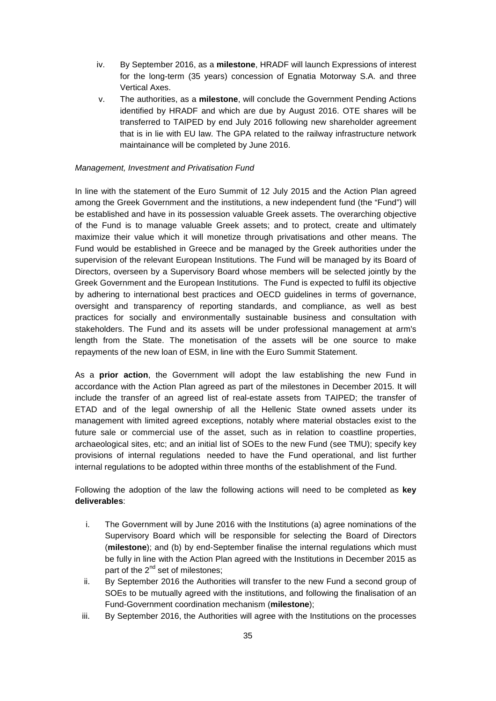- iv. By September 2016, as a **milestone**, HRADF will launch Expressions of interest for the long-term (35 years) concession of Egnatia Motorway S.A. and three Vertical Axes.
- v. The authorities, as a **milestone**, will conclude the Government Pending Actions identified by HRADF and which are due by August 2016. OTE shares will be transferred to TAIPED by end July 2016 following new shareholder agreement that is in lie with EU law. The GPA related to the railway infrastructure network maintainance will be completed by June 2016.

### *Management, Investment and Privatisation Fund*

In line with the statement of the Euro Summit of 12 July 2015 and the Action Plan agreed among the Greek Government and the institutions, a new independent fund (the "Fund") will be established and have in its possession valuable Greek assets. The overarching objective of the Fund is to manage valuable Greek assets; and to protect, create and ultimately maximize their value which it will monetize through privatisations and other means. The Fund would be established in Greece and be managed by the Greek authorities under the supervision of the relevant European Institutions. The Fund will be managed by its Board of Directors, overseen by a Supervisory Board whose members will be selected jointly by the Greek Government and the European Institutions. The Fund is expected to fulfil its objective by adhering to international best practices and OECD guidelines in terms of governance, oversight and transparency of reporting standards, and compliance, as well as best practices for socially and environmentally sustainable business and consultation with stakeholders. The Fund and its assets will be under professional management at arm's length from the State. The monetisation of the assets will be one source to make repayments of the new loan of ESM, in line with the Euro Summit Statement.

As a **prior action**, the Government will adopt the law establishing the new Fund in accordance with the Action Plan agreed as part of the milestones in December 2015. It will include the transfer of an agreed list of real-estate assets from TAIPED; the transfer of ETAD and of the legal ownership of all the Hellenic State owned assets under its management with limited agreed exceptions, notably where material obstacles exist to the future sale or commercial use of the asset, such as in relation to coastline properties, archaeological sites, etc; and an initial list of SOEs to the new Fund (see TMU); specify key provisions of internal regulations needed to have the Fund operational, and list further internal regulations to be adopted within three months of the establishment of the Fund.

Following the adoption of the law the following actions will need to be completed as **key deliverables**:

- i. The Government will by June 2016 with the Institutions (a) agree nominations of the Supervisory Board which will be responsible for selecting the Board of Directors (**milestone**); and (b) by end-September finalise the internal regulations which must be fully in line with the Action Plan agreed with the Institutions in December 2015 as part of the  $2^{nd}$  set of milestones:
- ii. By September 2016 the Authorities will transfer to the new Fund a second group of SOEs to be mutually agreed with the institutions, and following the finalisation of an Fund-Government coordination mechanism (**milestone**);
- iii. By September 2016, the Authorities will agree with the Institutions on the processes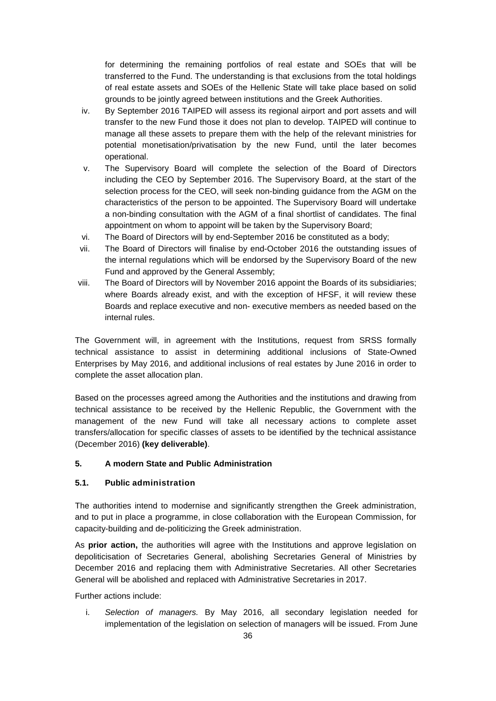for determining the remaining portfolios of real estate and SOEs that will be transferred to the Fund. The understanding is that exclusions from the total holdings of real estate assets and SOEs of the Hellenic State will take place based on solid grounds to be jointly agreed between institutions and the Greek Authorities.

- iv. By September 2016 TAIPED will assess its regional airport and port assets and will transfer to the new Fund those it does not plan to develop. TAIPED will continue to manage all these assets to prepare them with the help of the relevant ministries for potential monetisation/privatisation by the new Fund, until the later becomes operational.
- v. The Supervisory Board will complete the selection of the Board of Directors including the CEO by September 2016. The Supervisory Board, at the start of the selection process for the CEO, will seek non-binding guidance from the AGM on the characteristics of the person to be appointed. The Supervisory Board will undertake a non-binding consultation with the AGM of a final shortlist of candidates. The final appointment on whom to appoint will be taken by the Supervisory Board;
- vi. The Board of Directors will by end-September 2016 be constituted as a body;
- vii. The Board of Directors will finalise by end-October 2016 the outstanding issues of the internal regulations which will be endorsed by the Supervisory Board of the new Fund and approved by the General Assembly;
- viii. The Board of Directors will by November 2016 appoint the Boards of its subsidiaries; where Boards already exist, and with the exception of HFSF, it will review these Boards and replace executive and non- executive members as needed based on the internal rules.

The Government will, in agreement with the Institutions, request from SRSS formally technical assistance to assist in determining additional inclusions of State-Owned Enterprises by May 2016, and additional inclusions of real estates by June 2016 in order to complete the asset allocation plan.

Based on the processes agreed among the Authorities and the institutions and drawing from technical assistance to be received by the Hellenic Republic, the Government with the management of the new Fund will take all necessary actions to complete asset transfers/allocation for specific classes of assets to be identified by the technical assistance (December 2016) **(key deliverable)**.

# **5. A modern State and Public Administration**

# **5.1. Public administration**

The authorities intend to modernise and significantly strengthen the Greek administration, and to put in place a programme, in close collaboration with the European Commission, for capacity-building and de-politicizing the Greek administration.

As **prior action,** the authorities will agree with the Institutions and approve legislation on depoliticisation of Secretaries General, abolishing Secretaries General of Ministries by December 2016 and replacing them with Administrative Secretaries. All other Secretaries General will be abolished and replaced with Administrative Secretaries in 2017.

Further actions include:

i. *Selection of managers.* By May 2016, all secondary legislation needed for implementation of the legislation on selection of managers will be issued. From June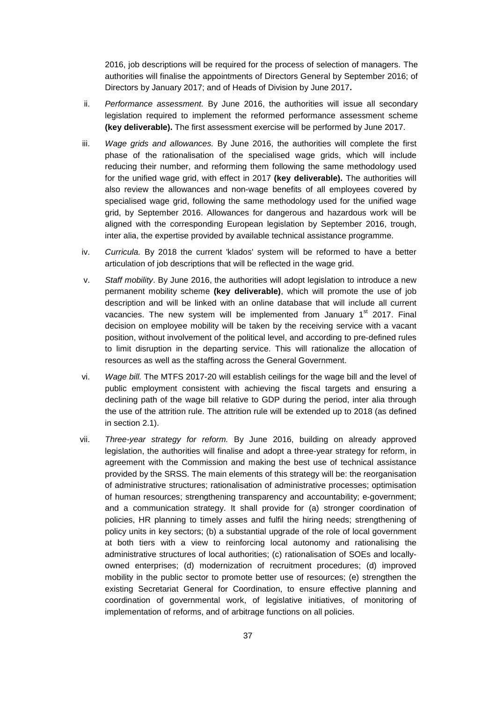2016, job descriptions will be required for the process of selection of managers. The authorities will finalise the appointments of Directors General by September 2016; of Directors by January 2017; and of Heads of Division by June 2017**.**

- ii. *Performance assessment.* By June 2016, the authorities will issue all secondary legislation required to implement the reformed performance assessment scheme **(key deliverable).** The first assessment exercise will be performed by June 2017.
- iii. *Wage grids and allowances.* By June 2016, the authorities will complete the first phase of the rationalisation of the specialised wage grids, which will include reducing their number, and reforming them following the same methodology used for the unified wage grid, with effect in 2017 **(key deliverable).** The authorities will also review the allowances and non-wage benefits of all employees covered by specialised wage grid, following the same methodology used for the unified wage grid, by September 2016. Allowances for dangerous and hazardous work will be aligned with the corresponding European legislation by September 2016, trough, inter alia, the expertise provided by available technical assistance programme.
- iv. *Curricula.* By 2018 the current 'klados' system will be reformed to have a better articulation of job descriptions that will be reflected in the wage grid.
- v. *Staff mobility*. By June 2016, the authorities will adopt legislation to introduce a new permanent mobility scheme **(key deliverable)**, which will promote the use of job description and will be linked with an online database that will include all current vacancies. The new system will be implemented from January  $1<sup>st</sup>$  2017. Final decision on employee mobility will be taken by the receiving service with a vacant position, without involvement of the political level, and according to pre-defined rules to limit disruption in the departing service. This will rationalize the allocation of resources as well as the staffing across the General Government.
- vi. *Wage bill.* The MTFS 2017-20 will establish ceilings for the wage bill and the level of public employment consistent with achieving the fiscal targets and ensuring a declining path of the wage bill relative to GDP during the period, inter alia through the use of the attrition rule. The attrition rule will be extended up to 2018 (as defined in section 2.1).
- vii. *Three-year strategy for reform.* By June 2016, building on already approved legislation, the authorities will finalise and adopt a three-year strategy for reform, in agreement with the Commission and making the best use of technical assistance provided by the SRSS. The main elements of this strategy will be: the reorganisation of administrative structures; rationalisation of administrative processes; optimisation of human resources; strengthening transparency and accountability; e-government; and a communication strategy. It shall provide for (a) stronger coordination of policies, HR planning to timely asses and fulfil the hiring needs; strengthening of policy units in key sectors; (b) a substantial upgrade of the role of local government at both tiers with a view to reinforcing local autonomy and rationalising the administrative structures of local authorities; (c) rationalisation of SOEs and locallyowned enterprises; (d) modernization of recruitment procedures; (d) improved mobility in the public sector to promote better use of resources; (e) strengthen the existing Secretariat General for Coordination, to ensure effective planning and coordination of governmental work, of legislative initiatives, of monitoring of implementation of reforms, and of arbitrage functions on all policies.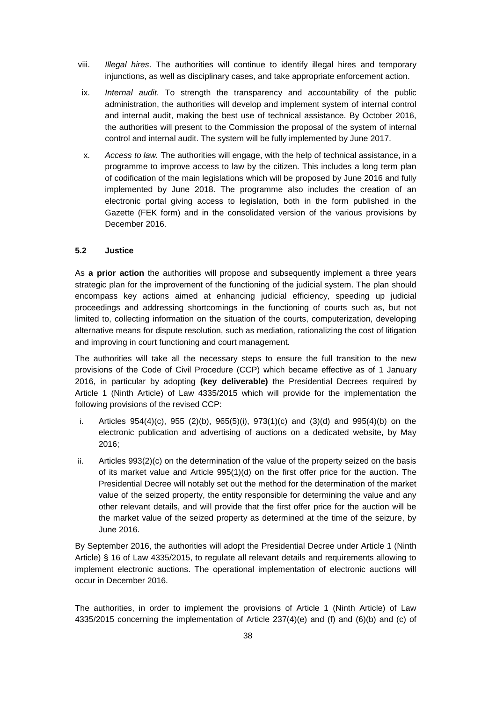- viii. *Illegal hires*. The authorities will continue to identify illegal hires and temporary injunctions, as well as disciplinary cases, and take appropriate enforcement action.
- ix. *Internal audit*. To strength the transparency and accountability of the public administration, the authorities will develop and implement system of internal control and internal audit, making the best use of technical assistance. By October 2016, the authorities will present to the Commission the proposal of the system of internal control and internal audit. The system will be fully implemented by June 2017.
- x. *Access to law.* The authorities will engage, with the help of technical assistance, in a programme to improve access to law by the citizen. This includes a long term plan of codification of the main legislations which will be proposed by June 2016 and fully implemented by June 2018. The programme also includes the creation of an electronic portal giving access to legislation, both in the form published in the Gazette (FEK form) and in the consolidated version of the various provisions by December 2016.

# **5.2 Justice**

As **a prior action** the authorities will propose and subsequently implement a three years strategic plan for the improvement of the functioning of the judicial system. The plan should encompass key actions aimed at enhancing judicial efficiency, speeding up judicial proceedings and addressing shortcomings in the functioning of courts such as, but not limited to, collecting information on the situation of the courts, computerization, developing alternative means for dispute resolution, such as mediation, rationalizing the cost of litigation and improving in court functioning and court management.

The authorities will take all the necessary steps to ensure the full transition to the new provisions of the Code of Civil Procedure (CCP) which became effective as of 1 January 2016, in particular by adopting **(key deliverable)** the Presidential Decrees required by Article 1 (Ninth Article) of Law 4335/2015 which will provide for the implementation the following provisions of the revised CCP:

- i. Articles  $954(4)(c)$ ,  $955(2)(b)$ ,  $965(5)(i)$ ,  $973(1)(c)$  and  $(3)(d)$  and  $995(4)(b)$  on the electronic publication and advertising of auctions on a dedicated website, by May 2016;
- ii. Articles 993(2)(c) on the determination of the value of the property seized on the basis of its market value and Article 995(1)(d) on the first offer price for the auction. The Presidential Decree will notably set out the method for the determination of the market value of the seized property, the entity responsible for determining the value and any other relevant details, and will provide that the first offer price for the auction will be the market value of the seized property as determined at the time of the seizure, by June 2016.

By September 2016, the authorities will adopt the Presidential Decree under Article 1 (Ninth Article) § 16 of Law 4335/2015, to regulate all relevant details and requirements allowing to implement electronic auctions. The operational implementation of electronic auctions will occur in December 2016.

The authorities, in order to implement the provisions of Article 1 (Ninth Article) of Law 4335/2015 concerning the implementation of Article 237(4)(e) and (f) and (6)(b) and (c) of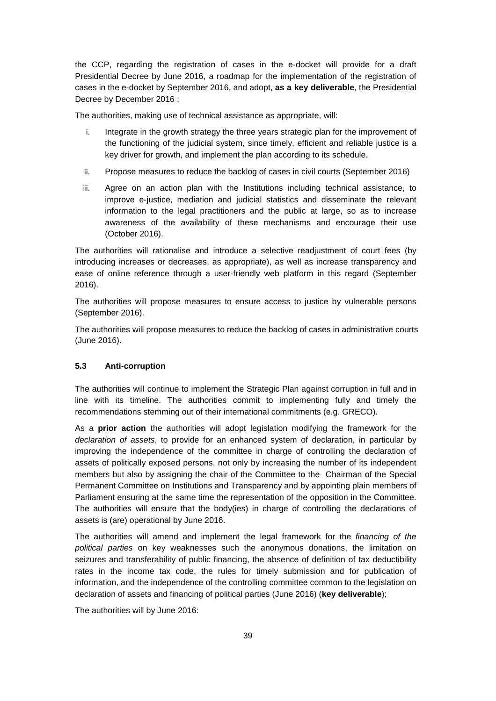the CCP, regarding the registration of cases in the e-docket will provide for a draft Presidential Decree by June 2016, a roadmap for the implementation of the registration of cases in the e-docket by September 2016, and adopt, **as a key deliverable**, the Presidential Decree by December 2016 ;

The authorities, making use of technical assistance as appropriate, will:

- i. Integrate in the growth strategy the three years strategic plan for the improvement of the functioning of the judicial system, since timely, efficient and reliable justice is a key driver for growth, and implement the plan according to its schedule.
- ii. Propose measures to reduce the backlog of cases in civil courts (September 2016)
- iii. Agree on an action plan with the Institutions including technical assistance, to improve e-justice, mediation and judicial statistics and disseminate the relevant information to the legal practitioners and the public at large, so as to increase awareness of the availability of these mechanisms and encourage their use (October 2016).

The authorities will rationalise and introduce a selective readjustment of court fees (by introducing increases or decreases, as appropriate), as well as increase transparency and ease of online reference through a user-friendly web platform in this regard (September 2016).

The authorities will propose measures to ensure access to justice by vulnerable persons (September 2016).

The authorities will propose measures to reduce the backlog of cases in administrative courts (June 2016).

### **5.3 Anti-corruption**

The authorities will continue to implement the Strategic Plan against corruption in full and in line with its timeline. The authorities commit to implementing fully and timely the recommendations stemming out of their international commitments (e.g. GRECO).

As a **prior action** the authorities will adopt legislation modifying the framework for the *declaration of assets*, to provide for an enhanced system of declaration, in particular by improving the independence of the committee in charge of controlling the declaration of assets of politically exposed persons, not only by increasing the number of its independent members but also by assigning the chair of the Committee to the Chairman of the Special Permanent Committee on Institutions and Transparency and by appointing plain members of Parliament ensuring at the same time the representation of the opposition in the Committee. The authorities will ensure that the body(ies) in charge of controlling the declarations of assets is (are) operational by June 2016.

The authorities will amend and implement the legal framework for the *financing of the political parties* on key weaknesses such the anonymous donations, the limitation on seizures and transferability of public financing, the absence of definition of tax deductibility rates in the income tax code, the rules for timely submission and for publication of information, and the independence of the controlling committee common to the legislation on declaration of assets and financing of political parties (June 2016) (**key deliverable**);

The authorities will by June 2016: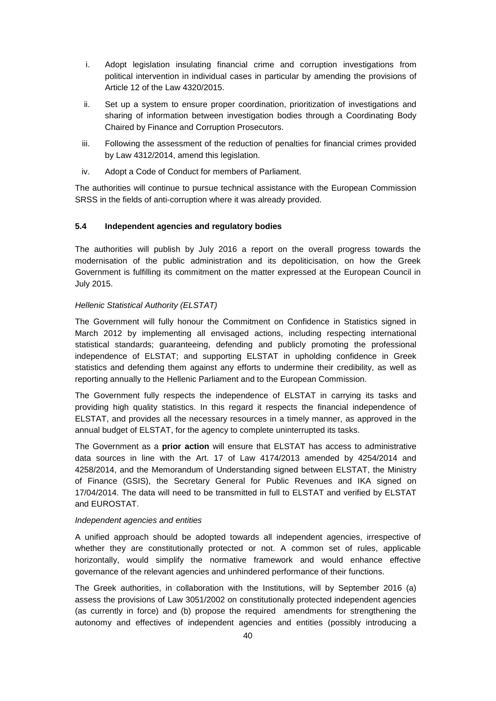- i. Adopt legislation insulating financial crime and corruption investigations from political intervention in individual cases in particular by amending the provisions of Article 12 of the Law 4320/2015.
- ii. Set up a system to ensure proper coordination, prioritization of investigations and sharing of information between investigation bodies through a Coordinating Body Chaired by Finance and Corruption Prosecutors.
- iii. Following the assessment of the reduction of penalties for financial crimes provided by Law 4312/2014, amend this legislation.
- iv. Adopt a Code of Conduct for members of Parliament.

The authorities will continue to pursue technical assistance with the European Commission SRSS in the fields of anti-corruption where it was already provided.

### **5.4 Independent agencies and regulatory bodies**

The authorities will publish by July 2016 a report on the overall progress towards the modernisation of the public administration and its depoliticisation, on how the Greek Government is fulfilling its commitment on the matter expressed at the European Council in July 2015.

# *Hellenic Statistical Authority (ELSTAT)*

The Government will fully honour the Commitment on Confidence in Statistics signed in March 2012 by implementing all envisaged actions, including respecting international statistical standards; guaranteeing, defending and publicly promoting the professional independence of ELSTAT; and supporting ELSTAT in upholding confidence in Greek statistics and defending them against any efforts to undermine their credibility, as well as reporting annually to the Hellenic Parliament and to the European Commission.

The Government fully respects the independence of ELSTAT in carrying its tasks and providing high quality statistics. In this regard it respects the financial independence of ELSTAT, and provides all the necessary resources in a timely manner, as approved in the annual budget of ELSTAT, for the agency to complete uninterrupted its tasks.

The Government as a **prior action** will ensure that ELSTAT has access to administrative data sources in line with the Art. 17 of Law 4174/2013 amended by 4254/2014 and 4258/2014, and the Memorandum of Understanding signed between ELSTAT, the Ministry of Finance (GSIS), the Secretary General for Public Revenues and IKA signed on 17/04/2014. The data will need to be transmitted in full to ELSTAT and verified by ELSTAT and EUROSTAT.

### *Independent agencies and entities*

A unified approach should be adopted towards all independent agencies, irrespective of whether they are constitutionally protected or not. A common set of rules, applicable horizontally, would simplify the normative framework and would enhance effective governance of the relevant agencies and unhindered performance of their functions.

The Greek authorities, in collaboration with the Institutions, will by September 2016 (a) assess the provisions of Law 3051/2002 on constitutionally protected independent agencies (as currently in force) and (b) propose the required amendments for strengthening the autonomy and effectives of independent agencies and entities (possibly introducing a